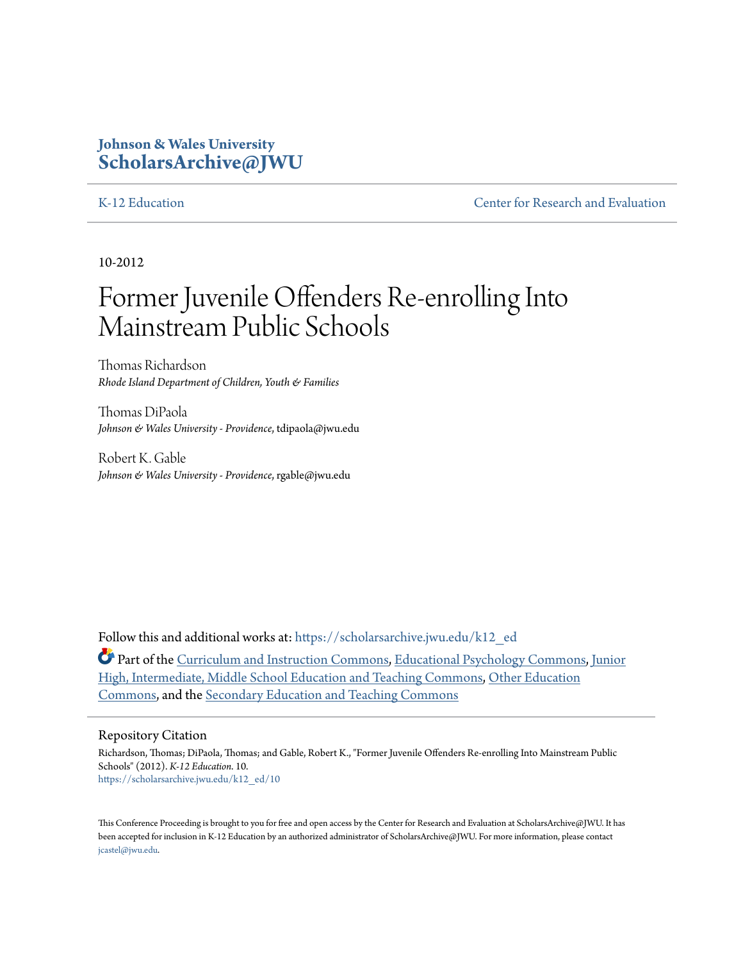### **Johnson & Wales University [ScholarsArchive@JWU](https://scholarsarchive.jwu.edu?utm_source=scholarsarchive.jwu.edu%2Fk12_ed%2F10&utm_medium=PDF&utm_campaign=PDFCoverPages)**

[K-12 Education](https://scholarsarchive.jwu.edu/k12_ed?utm_source=scholarsarchive.jwu.edu%2Fk12_ed%2F10&utm_medium=PDF&utm_campaign=PDFCoverPages) [Center for Research and Evaluation](https://scholarsarchive.jwu.edu/research?utm_source=scholarsarchive.jwu.edu%2Fk12_ed%2F10&utm_medium=PDF&utm_campaign=PDFCoverPages)

10-2012

# Former Juvenile Offenders Re-enrolling Into Mainstream Public Schools

Thomas Richardson *Rhode Island Department of Children, Youth & Families*

Thomas DiPaola *Johnson & Wales University - Providence*, tdipaola@jwu.edu

Robert K. Gable *Johnson & Wales University - Providence*, rgable@jwu.edu

Follow this and additional works at: [https://scholarsarchive.jwu.edu/k12\\_ed](https://scholarsarchive.jwu.edu/k12_ed?utm_source=scholarsarchive.jwu.edu%2Fk12_ed%2F10&utm_medium=PDF&utm_campaign=PDFCoverPages)

Part of the [Curriculum and Instruction Commons](http://network.bepress.com/hgg/discipline/786?utm_source=scholarsarchive.jwu.edu%2Fk12_ed%2F10&utm_medium=PDF&utm_campaign=PDFCoverPages), [Educational Psychology Commons,](http://network.bepress.com/hgg/discipline/798?utm_source=scholarsarchive.jwu.edu%2Fk12_ed%2F10&utm_medium=PDF&utm_campaign=PDFCoverPages) [Junior](http://network.bepress.com/hgg/discipline/807?utm_source=scholarsarchive.jwu.edu%2Fk12_ed%2F10&utm_medium=PDF&utm_campaign=PDFCoverPages) [High, Intermediate, Middle School Education and Teaching Commons,](http://network.bepress.com/hgg/discipline/807?utm_source=scholarsarchive.jwu.edu%2Fk12_ed%2F10&utm_medium=PDF&utm_campaign=PDFCoverPages) [Other Education](http://network.bepress.com/hgg/discipline/811?utm_source=scholarsarchive.jwu.edu%2Fk12_ed%2F10&utm_medium=PDF&utm_campaign=PDFCoverPages) [Commons,](http://network.bepress.com/hgg/discipline/811?utm_source=scholarsarchive.jwu.edu%2Fk12_ed%2F10&utm_medium=PDF&utm_campaign=PDFCoverPages) and the [Secondary Education and Teaching Commons](http://network.bepress.com/hgg/discipline/809?utm_source=scholarsarchive.jwu.edu%2Fk12_ed%2F10&utm_medium=PDF&utm_campaign=PDFCoverPages)

#### Repository Citation

Richardson, Thomas; DiPaola, Thomas; and Gable, Robert K., "Former Juvenile Offenders Re-enrolling Into Mainstream Public Schools" (2012). *K-12 Education*. 10. [https://scholarsarchive.jwu.edu/k12\\_ed/10](https://scholarsarchive.jwu.edu/k12_ed/10?utm_source=scholarsarchive.jwu.edu%2Fk12_ed%2F10&utm_medium=PDF&utm_campaign=PDFCoverPages)

This Conference Proceeding is brought to you for free and open access by the Center for Research and Evaluation at ScholarsArchive@JWU. It has been accepted for inclusion in K-12 Education by an authorized administrator of ScholarsArchive@JWU. For more information, please contact [jcastel@jwu.edu.](mailto:jcastel@jwu.edu)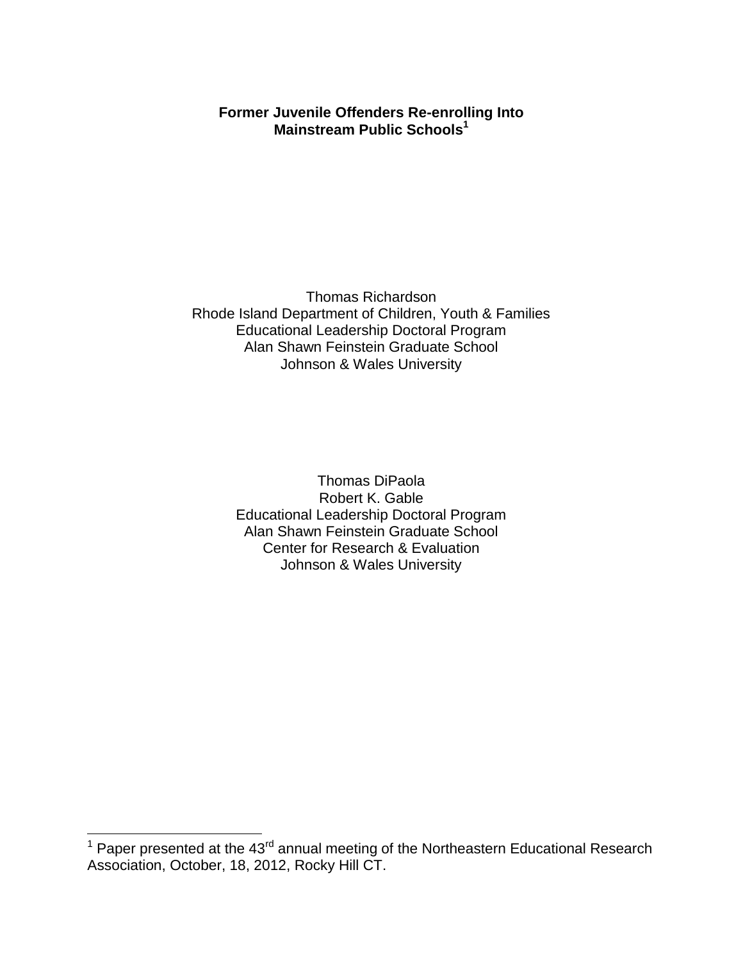### **Former Juvenile Offenders Re-enrolling Into Mainstream Public Schools<sup>1</sup>**

Thomas Richardson Rhode Island Department of Children, Youth & Families Educational Leadership Doctoral Program Alan Shawn Feinstein Graduate School Johnson & Wales University

> Thomas DiPaola Robert K. Gable Educational Leadership Doctoral Program Alan Shawn Feinstein Graduate School Center for Research & Evaluation Johnson & Wales University

 $\overline{\phantom{a}}$ 

 $1$  Paper presented at the 43<sup>rd</sup> annual meeting of the Northeastern Educational Research Association, October, 18, 2012, Rocky Hill CT.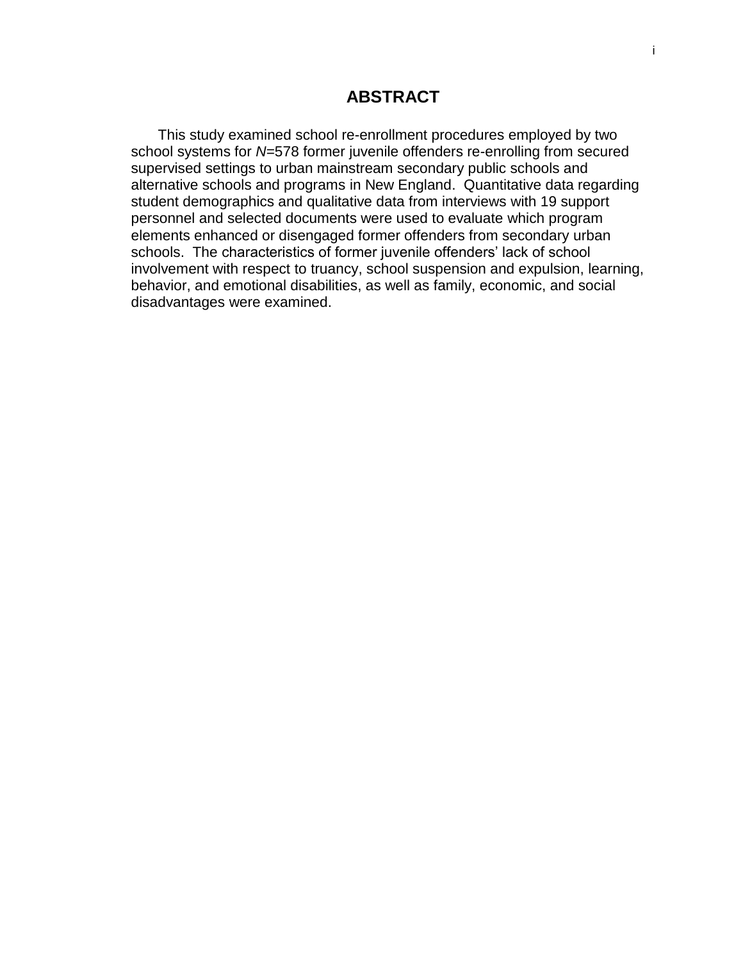### **ABSTRACT**

 This study examined school re-enrollment procedures employed by two school systems for *N*=578 former juvenile offenders re-enrolling from secured supervised settings to urban mainstream secondary public schools and alternative schools and programs in New England. Quantitative data regarding student demographics and qualitative data from interviews with 19 support personnel and selected documents were used to evaluate which program elements enhanced or disengaged former offenders from secondary urban schools. The characteristics of former juvenile offenders' lack of school involvement with respect to truancy, school suspension and expulsion, learning, behavior, and emotional disabilities, as well as family, economic, and social disadvantages were examined.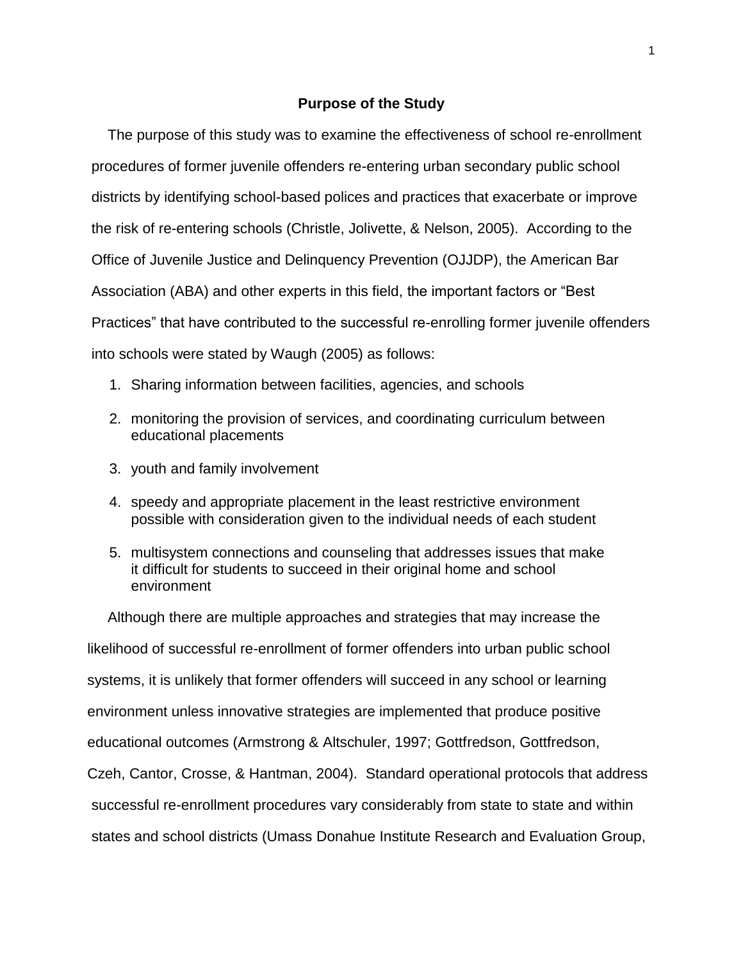#### **Purpose of the Study**

 The purpose of this study was to examine the effectiveness of school re-enrollment procedures of former juvenile offenders re-entering urban secondary public school districts by identifying school-based polices and practices that exacerbate or improve the risk of re-entering schools (Christle, Jolivette, & Nelson, 2005). According to the Office of Juvenile Justice and Delinquency Prevention (OJJDP), the American Bar Association (ABA) and other experts in this field, the important factors or "Best Practices" that have contributed to the successful re-enrolling former juvenile offenders into schools were stated by Waugh (2005) as follows:

- 1. Sharing information between facilities, agencies, and schools
- 2. monitoring the provision of services, and coordinating curriculum between educational placements
- 3. youth and family involvement
- 4. speedy and appropriate placement in the least restrictive environment possible with consideration given to the individual needs of each student
- 5. multisystem connections and counseling that addresses issues that make it difficult for students to succeed in their original home and school environment

 Although there are multiple approaches and strategies that may increase the likelihood of successful re-enrollment of former offenders into urban public school systems, it is unlikely that former offenders will succeed in any school or learning environment unless innovative strategies are implemented that produce positive educational outcomes (Armstrong & Altschuler, 1997; Gottfredson, Gottfredson, Czeh, Cantor, Crosse, & Hantman, 2004). Standard operational protocols that address successful re-enrollment procedures vary considerably from state to state and within states and school districts (Umass Donahue Institute Research and Evaluation Group,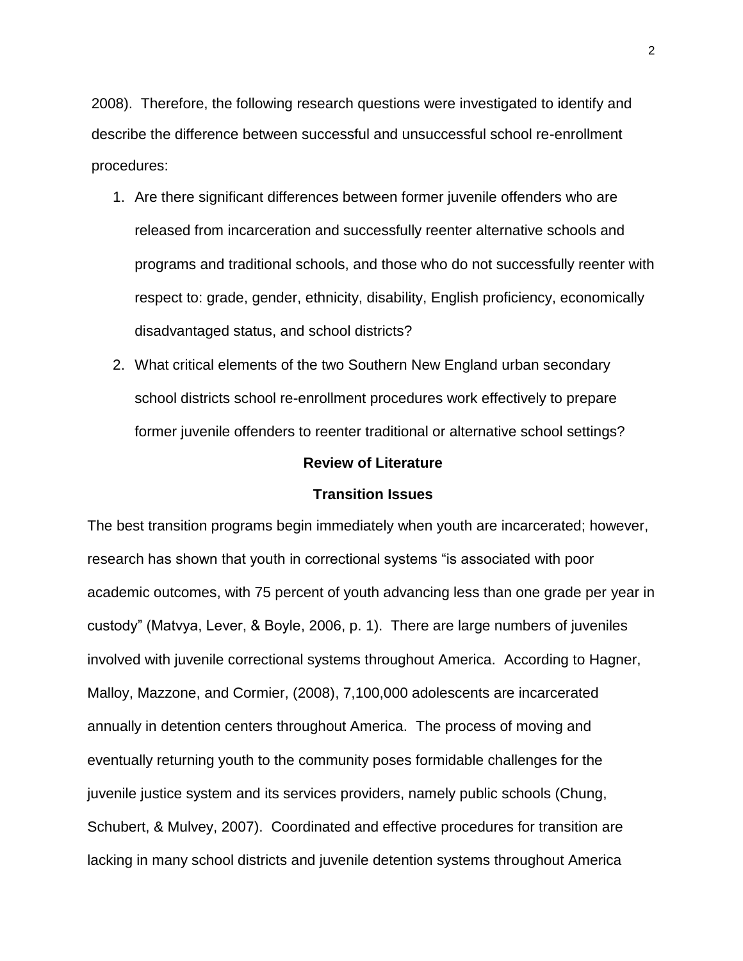2008). Therefore, the following research questions were investigated to identify and describe the difference between successful and unsuccessful school re-enrollment procedures:

- 1. Are there significant differences between former juvenile offenders who are released from incarceration and successfully reenter alternative schools and programs and traditional schools, and those who do not successfully reenter with respect to: grade, gender, ethnicity, disability, English proficiency, economically disadvantaged status, and school districts?
- 2. What critical elements of the two Southern New England urban secondary school districts school re-enrollment procedures work effectively to prepare former juvenile offenders to reenter traditional or alternative school settings?

#### **Review of Literature**

#### **Transition Issues**

The best transition programs begin immediately when youth are incarcerated; however, research has shown that youth in correctional systems "is associated with poor academic outcomes, with 75 percent of youth advancing less than one grade per year in custody" (Matvya, Lever, & Boyle, 2006, p. 1). There are large numbers of juveniles involved with juvenile correctional systems throughout America. According to Hagner, Malloy, Mazzone, and Cormier, (2008), 7,100,000 adolescents are incarcerated annually in detention centers throughout America. The process of moving and eventually returning youth to the community poses formidable challenges for the juvenile justice system and its services providers, namely public schools (Chung, Schubert, & Mulvey, 2007). Coordinated and effective procedures for transition are lacking in many school districts and juvenile detention systems throughout America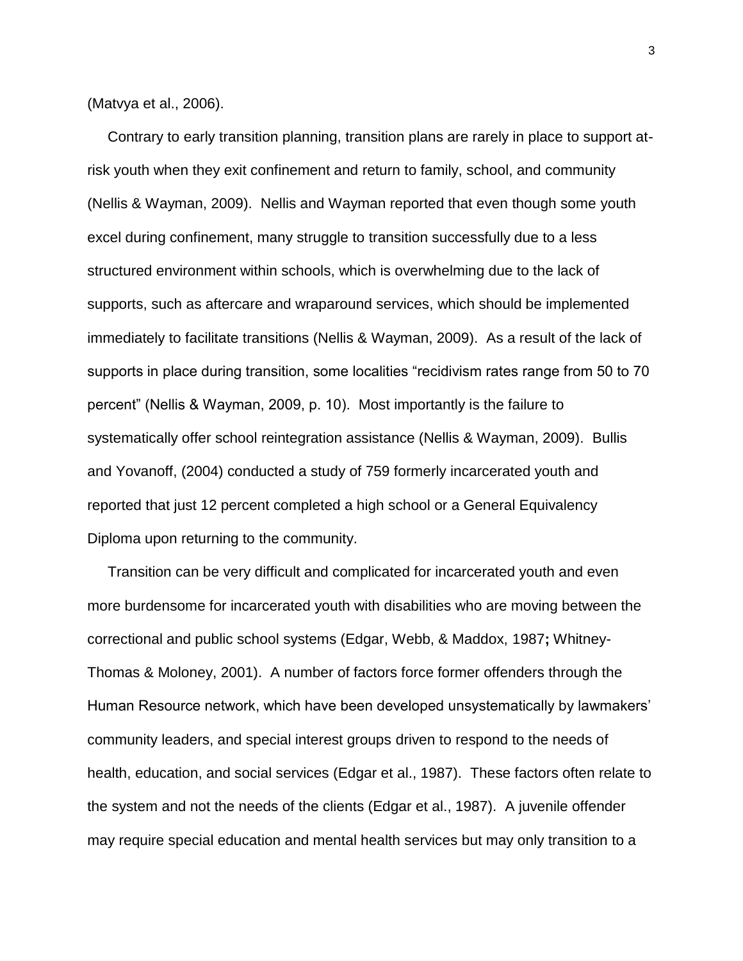(Matvya et al., 2006).

 Contrary to early transition planning, transition plans are rarely in place to support atrisk youth when they exit confinement and return to family, school, and community (Nellis & Wayman, 2009). Nellis and Wayman reported that even though some youth excel during confinement, many struggle to transition successfully due to a less structured environment within schools, which is overwhelming due to the lack of supports, such as aftercare and wraparound services, which should be implemented immediately to facilitate transitions (Nellis & Wayman, 2009). As a result of the lack of supports in place during transition, some localities "recidivism rates range from 50 to 70 percent" (Nellis & Wayman, 2009, p. 10). Most importantly is the failure to systematically offer school reintegration assistance (Nellis & Wayman, 2009). Bullis and Yovanoff, (2004) conducted a study of 759 formerly incarcerated youth and reported that just 12 percent completed a high school or a General Equivalency Diploma upon returning to the community.

 Transition can be very difficult and complicated for incarcerated youth and even more burdensome for incarcerated youth with disabilities who are moving between the correctional and public school systems (Edgar, Webb, & Maddox, 1987**;** Whitney-Thomas & Moloney, 2001). A number of factors force former offenders through the Human Resource network, which have been developed unsystematically by lawmakers' community leaders, and special interest groups driven to respond to the needs of health, education, and social services (Edgar et al., 1987). These factors often relate to the system and not the needs of the clients (Edgar et al., 1987). A juvenile offender may require special education and mental health services but may only transition to a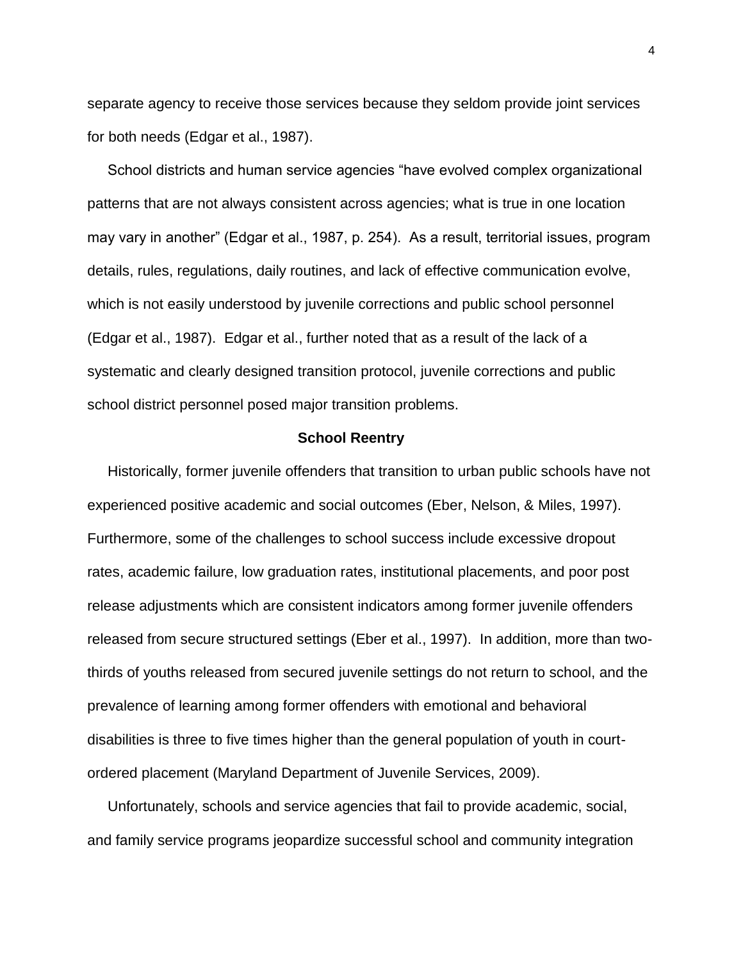separate agency to receive those services because they seldom provide joint services for both needs (Edgar et al., 1987).

 School districts and human service agencies "have evolved complex organizational patterns that are not always consistent across agencies; what is true in one location may vary in another" (Edgar et al., 1987, p. 254). As a result, territorial issues, program details, rules, regulations, daily routines, and lack of effective communication evolve, which is not easily understood by juvenile corrections and public school personnel (Edgar et al., 1987). Edgar et al., further noted that as a result of the lack of a systematic and clearly designed transition protocol, juvenile corrections and public school district personnel posed major transition problems.

#### **School Reentry**

Historically, former juvenile offenders that transition to urban public schools have not experienced positive academic and social outcomes (Eber, Nelson, & Miles, 1997). Furthermore, some of the challenges to school success include excessive dropout rates, academic failure, low graduation rates, institutional placements, and poor post release adjustments which are consistent indicators among former juvenile offenders released from secure structured settings (Eber et al., 1997). In addition, more than twothirds of youths released from secured juvenile settings do not return to school, and the prevalence of learning among former offenders with emotional and behavioral disabilities is three to five times higher than the general population of youth in courtordered placement (Maryland Department of Juvenile Services, 2009).

 Unfortunately, schools and service agencies that fail to provide academic, social, and family service programs jeopardize successful school and community integration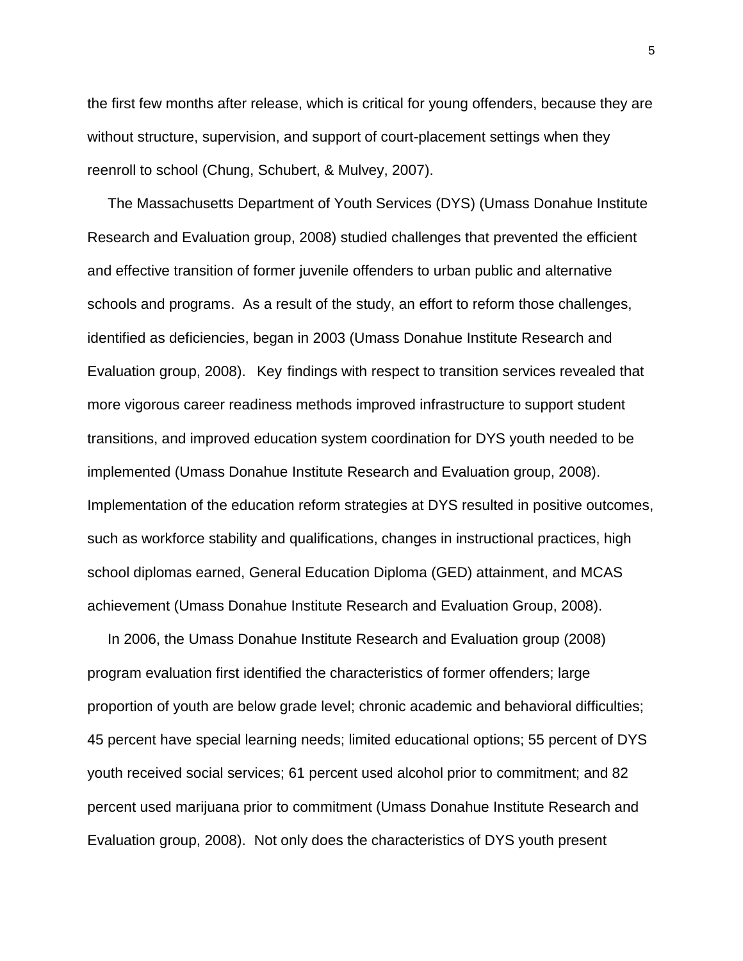the first few months after release, which is critical for young offenders, because they are without structure, supervision, and support of court-placement settings when they reenroll to school (Chung, Schubert, & Mulvey, 2007).

 The Massachusetts Department of Youth Services (DYS) (Umass Donahue Institute Research and Evaluation group, 2008) studied challenges that prevented the efficient and effective transition of former juvenile offenders to urban public and alternative schools and programs. As a result of the study, an effort to reform those challenges, identified as deficiencies, began in 2003 (Umass Donahue Institute Research and Evaluation group, 2008). Key findings with respect to transition services revealed that more vigorous career readiness methods improved infrastructure to support student transitions, and improved education system coordination for DYS youth needed to be implemented (Umass Donahue Institute Research and Evaluation group, 2008). Implementation of the education reform strategies at DYS resulted in positive outcomes, such as workforce stability and qualifications, changes in instructional practices, high school diplomas earned, General Education Diploma (GED) attainment, and MCAS achievement (Umass Donahue Institute Research and Evaluation Group, 2008).

 In 2006, the Umass Donahue Institute Research and Evaluation group (2008) program evaluation first identified the characteristics of former offenders; large proportion of youth are below grade level; chronic academic and behavioral difficulties; 45 percent have special learning needs; limited educational options; 55 percent of DYS youth received social services; 61 percent used alcohol prior to commitment; and 82 percent used marijuana prior to commitment (Umass Donahue Institute Research and Evaluation group, 2008). Not only does the characteristics of DYS youth present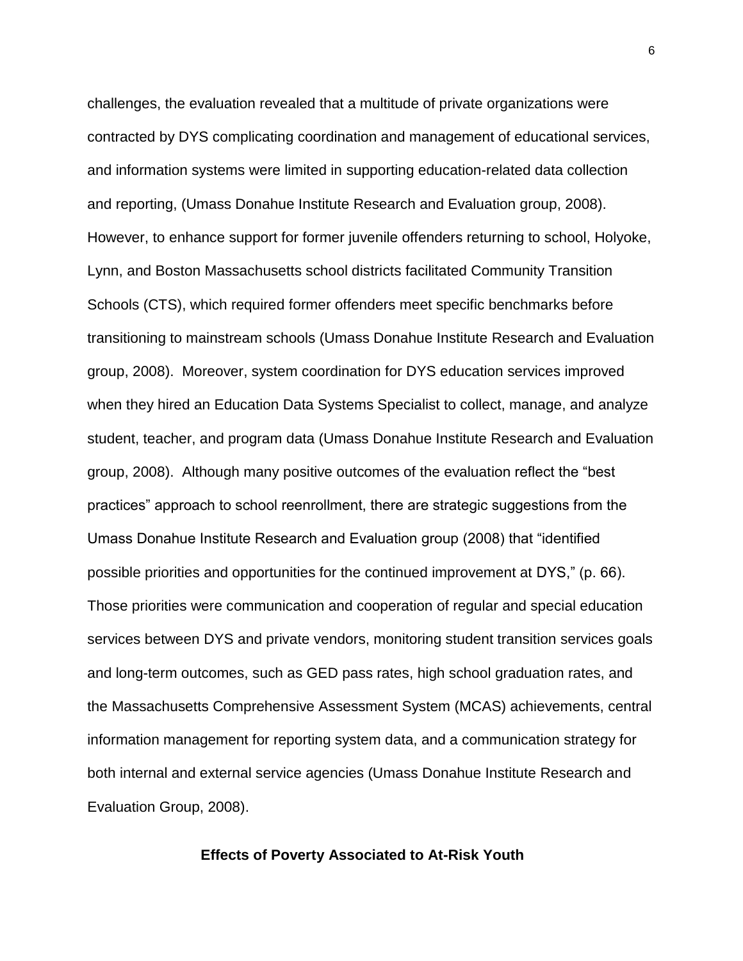challenges, the evaluation revealed that a multitude of private organizations were contracted by DYS complicating coordination and management of educational services, and information systems were limited in supporting education-related data collection and reporting, (Umass Donahue Institute Research and Evaluation group, 2008). However, to enhance support for former juvenile offenders returning to school, Holyoke, Lynn, and Boston Massachusetts school districts facilitated Community Transition Schools (CTS), which required former offenders meet specific benchmarks before transitioning to mainstream schools (Umass Donahue Institute Research and Evaluation group, 2008). Moreover, system coordination for DYS education services improved when they hired an Education Data Systems Specialist to collect, manage, and analyze student, teacher, and program data (Umass Donahue Institute Research and Evaluation group, 2008). Although many positive outcomes of the evaluation reflect the "best practices" approach to school reenrollment, there are strategic suggestions from the Umass Donahue Institute Research and Evaluation group (2008) that "identified possible priorities and opportunities for the continued improvement at DYS," (p. 66). Those priorities were communication and cooperation of regular and special education services between DYS and private vendors, monitoring student transition services goals and long-term outcomes, such as GED pass rates, high school graduation rates, and the Massachusetts Comprehensive Assessment System (MCAS) achievements, central information management for reporting system data, and a communication strategy for both internal and external service agencies (Umass Donahue Institute Research and Evaluation Group, 2008).

#### **Effects of Poverty Associated to At-Risk Youth**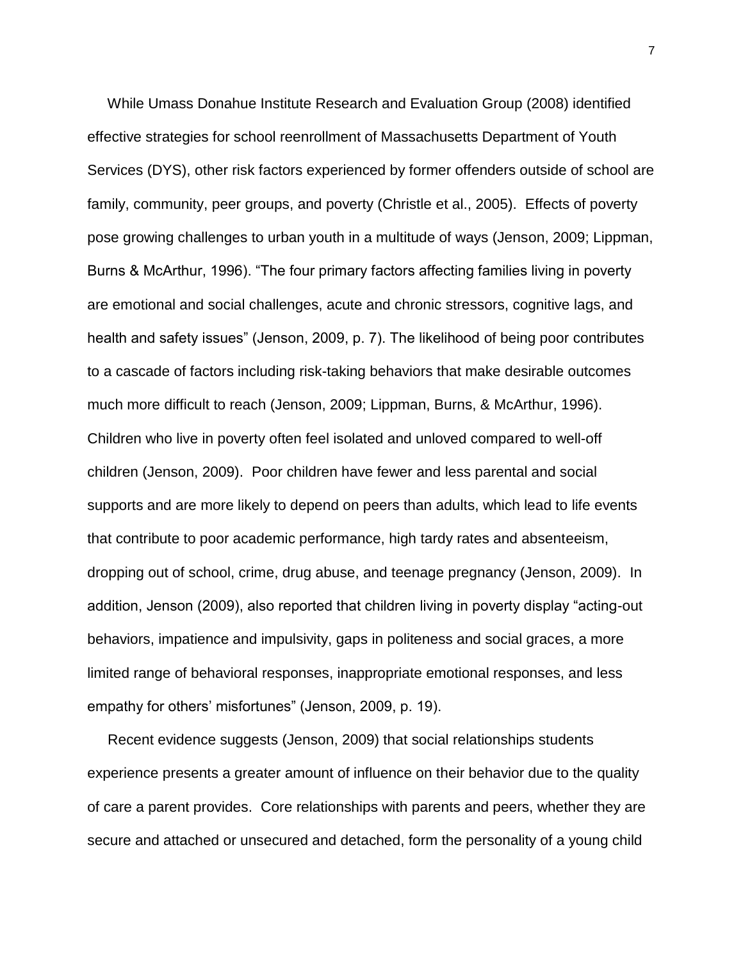While Umass Donahue Institute Research and Evaluation Group (2008) identified effective strategies for school reenrollment of Massachusetts Department of Youth Services (DYS), other risk factors experienced by former offenders outside of school are family, community, peer groups, and poverty (Christle et al., 2005). Effects of poverty pose growing challenges to urban youth in a multitude of ways (Jenson, 2009; Lippman, Burns & McArthur, 1996). "The four primary factors affecting families living in poverty are emotional and social challenges, acute and chronic stressors, cognitive lags, and health and safety issues" (Jenson, 2009, p. 7). The likelihood of being poor contributes to a cascade of factors including risk-taking behaviors that make desirable outcomes much more difficult to reach (Jenson, 2009; Lippman, Burns, & McArthur, 1996). Children who live in poverty often feel isolated and unloved compared to well-off children (Jenson, 2009). Poor children have fewer and less parental and social supports and are more likely to depend on peers than adults, which lead to life events that contribute to poor academic performance, high tardy rates and absenteeism, dropping out of school, crime, drug abuse, and teenage pregnancy (Jenson, 2009). In addition, Jenson (2009), also reported that children living in poverty display "acting-out behaviors, impatience and impulsivity, gaps in politeness and social graces, a more limited range of behavioral responses, inappropriate emotional responses, and less empathy for others' misfortunes" (Jenson, 2009, p. 19).

 Recent evidence suggests (Jenson, 2009) that social relationships students experience presents a greater amount of influence on their behavior due to the quality of care a parent provides. Core relationships with parents and peers, whether they are secure and attached or unsecured and detached, form the personality of a young child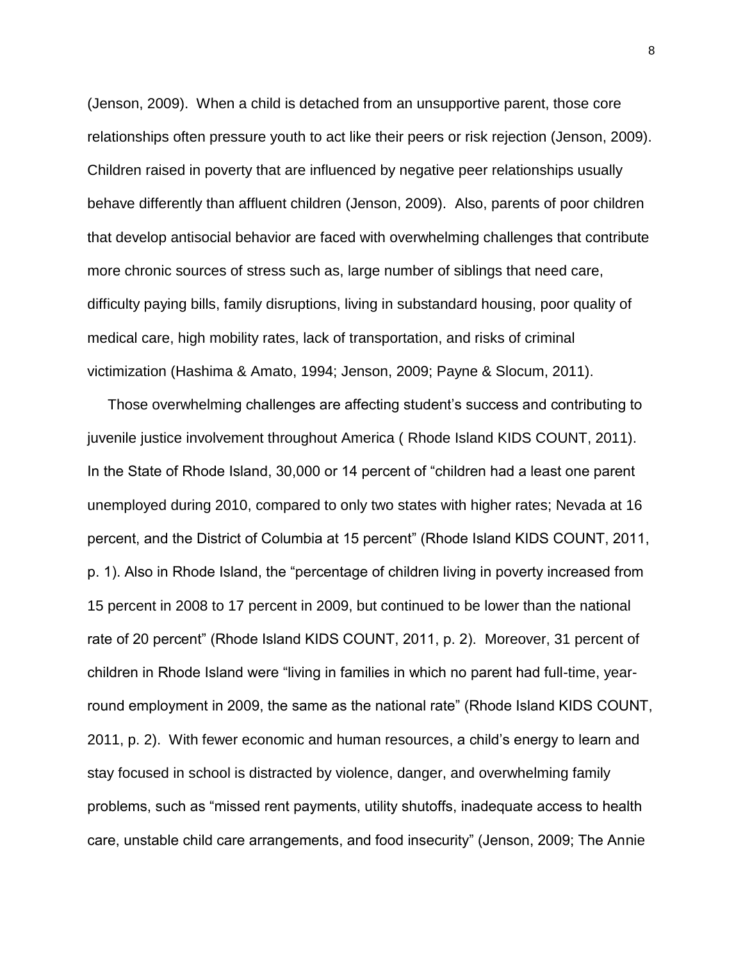(Jenson, 2009). When a child is detached from an unsupportive parent, those core relationships often pressure youth to act like their peers or risk rejection (Jenson, 2009). Children raised in poverty that are influenced by negative peer relationships usually behave differently than affluent children (Jenson, 2009). Also, parents of poor children that develop antisocial behavior are faced with overwhelming challenges that contribute more chronic sources of stress such as, large number of siblings that need care, difficulty paying bills, family disruptions, living in substandard housing, poor quality of medical care, high mobility rates, lack of transportation, and risks of criminal victimization (Hashima & Amato, 1994; Jenson, 2009; Payne & Slocum, 2011).

 Those overwhelming challenges are affecting student's success and contributing to juvenile justice involvement throughout America ( Rhode Island KIDS COUNT, 2011). In the State of Rhode Island, 30,000 or 14 percent of "children had a least one parent unemployed during 2010, compared to only two states with higher rates; Nevada at 16 percent, and the District of Columbia at 15 percent" (Rhode Island KIDS COUNT, 2011, p. 1). Also in Rhode Island, the "percentage of children living in poverty increased from 15 percent in 2008 to 17 percent in 2009, but continued to be lower than the national rate of 20 percent" (Rhode Island KIDS COUNT, 2011, p. 2). Moreover, 31 percent of children in Rhode Island were "living in families in which no parent had full-time, yearround employment in 2009, the same as the national rate" (Rhode Island KIDS COUNT, 2011, p. 2). With fewer economic and human resources, a child's energy to learn and stay focused in school is distracted by violence, danger, and overwhelming family problems, such as "missed rent payments, utility shutoffs, inadequate access to health care, unstable child care arrangements, and food insecurity" (Jenson, 2009; The Annie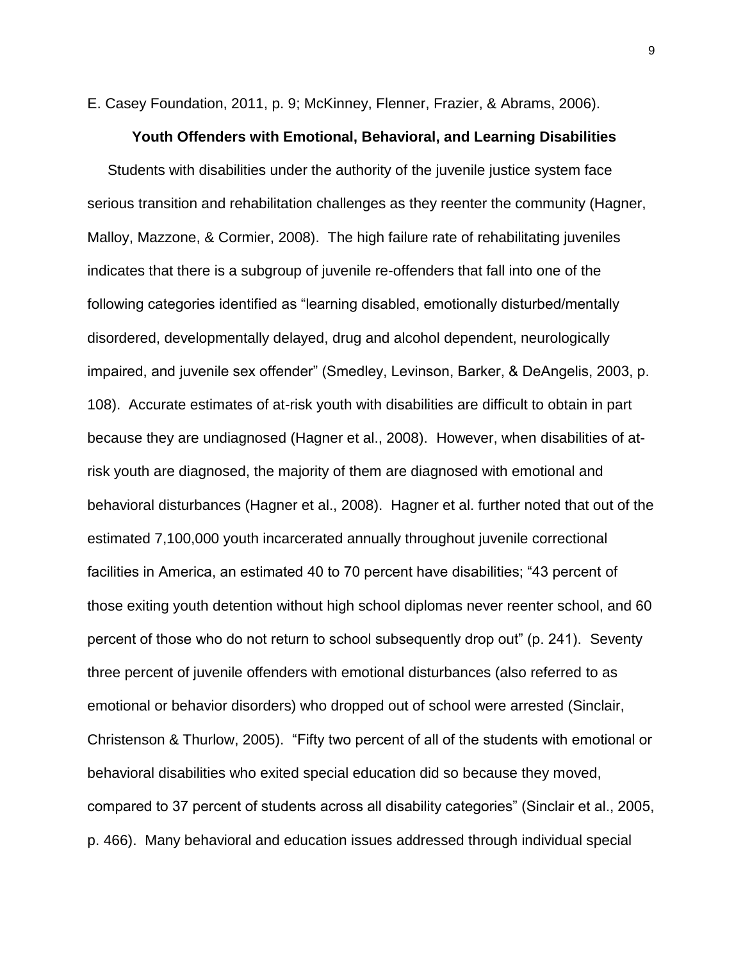E. Casey Foundation, 2011, p. 9; McKinney, Flenner, Frazier, & Abrams, 2006).

#### **Youth Offenders with Emotional, Behavioral, and Learning Disabilities**

 Students with disabilities under the authority of the juvenile justice system face serious transition and rehabilitation challenges as they reenter the community (Hagner, Malloy, Mazzone, & Cormier, 2008). The high failure rate of rehabilitating juveniles indicates that there is a subgroup of juvenile re-offenders that fall into one of the following categories identified as "learning disabled, emotionally disturbed/mentally disordered, developmentally delayed, drug and alcohol dependent, neurologically impaired, and juvenile sex offender" (Smedley, Levinson, Barker, & DeAngelis, 2003, p. 108). Accurate estimates of at-risk youth with disabilities are difficult to obtain in part because they are undiagnosed (Hagner et al., 2008). However, when disabilities of atrisk youth are diagnosed, the majority of them are diagnosed with emotional and behavioral disturbances (Hagner et al., 2008). Hagner et al. further noted that out of the estimated 7,100,000 youth incarcerated annually throughout juvenile correctional facilities in America, an estimated 40 to 70 percent have disabilities; "43 percent of those exiting youth detention without high school diplomas never reenter school, and 60 percent of those who do not return to school subsequently drop out" (p. 241). Seventy three percent of juvenile offenders with emotional disturbances (also referred to as emotional or behavior disorders) who dropped out of school were arrested (Sinclair, Christenson & Thurlow, 2005). "Fifty two percent of all of the students with emotional or behavioral disabilities who exited special education did so because they moved, compared to 37 percent of students across all disability categories" (Sinclair et al., 2005, p. 466). Many behavioral and education issues addressed through individual special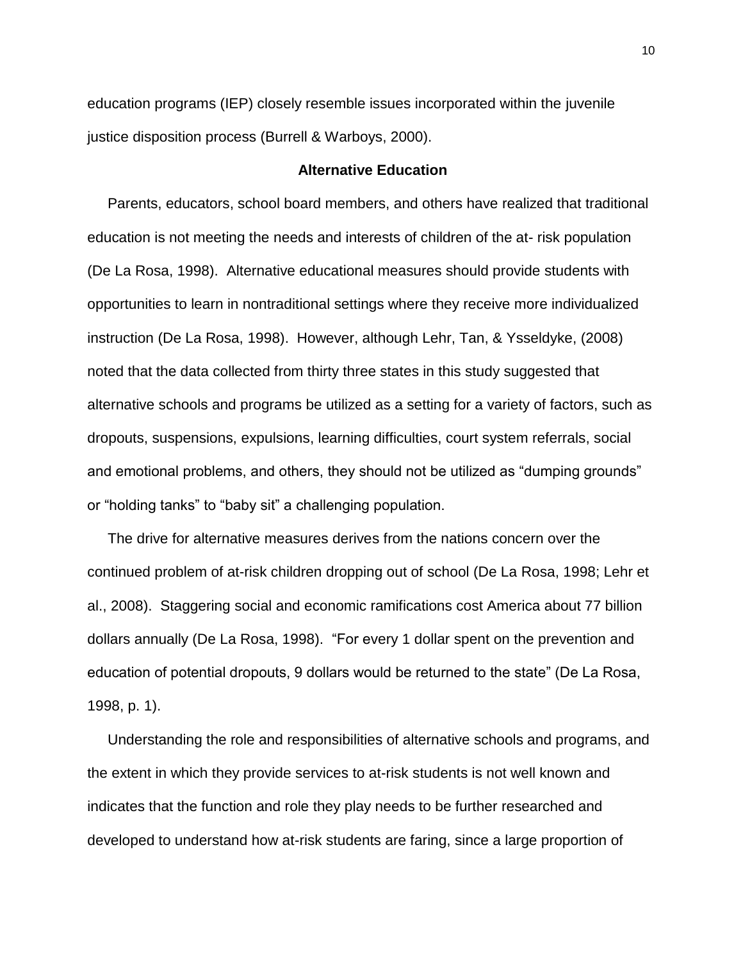education programs (IEP) closely resemble issues incorporated within the juvenile justice disposition process (Burrell & Warboys, 2000).

#### **Alternative Education**

 Parents, educators, school board members, and others have realized that traditional education is not meeting the needs and interests of children of the at- risk population (De La Rosa, 1998). Alternative educational measures should provide students with opportunities to learn in nontraditional settings where they receive more individualized instruction (De La Rosa, 1998). However, although Lehr, Tan, & Ysseldyke, (2008) noted that the data collected from thirty three states in this study suggested that alternative schools and programs be utilized as a setting for a variety of factors, such as dropouts, suspensions, expulsions, learning difficulties, court system referrals, social and emotional problems, and others, they should not be utilized as "dumping grounds" or "holding tanks" to "baby sit" a challenging population.

 The drive for alternative measures derives from the nations concern over the continued problem of at-risk children dropping out of school (De La Rosa, 1998; Lehr et al., 2008). Staggering social and economic ramifications cost America about 77 billion dollars annually (De La Rosa, 1998). "For every 1 dollar spent on the prevention and education of potential dropouts, 9 dollars would be returned to the state" (De La Rosa, 1998, p. 1).

 Understanding the role and responsibilities of alternative schools and programs, and the extent in which they provide services to at-risk students is not well known and indicates that the function and role they play needs to be further researched and developed to understand how at-risk students are faring, since a large proportion of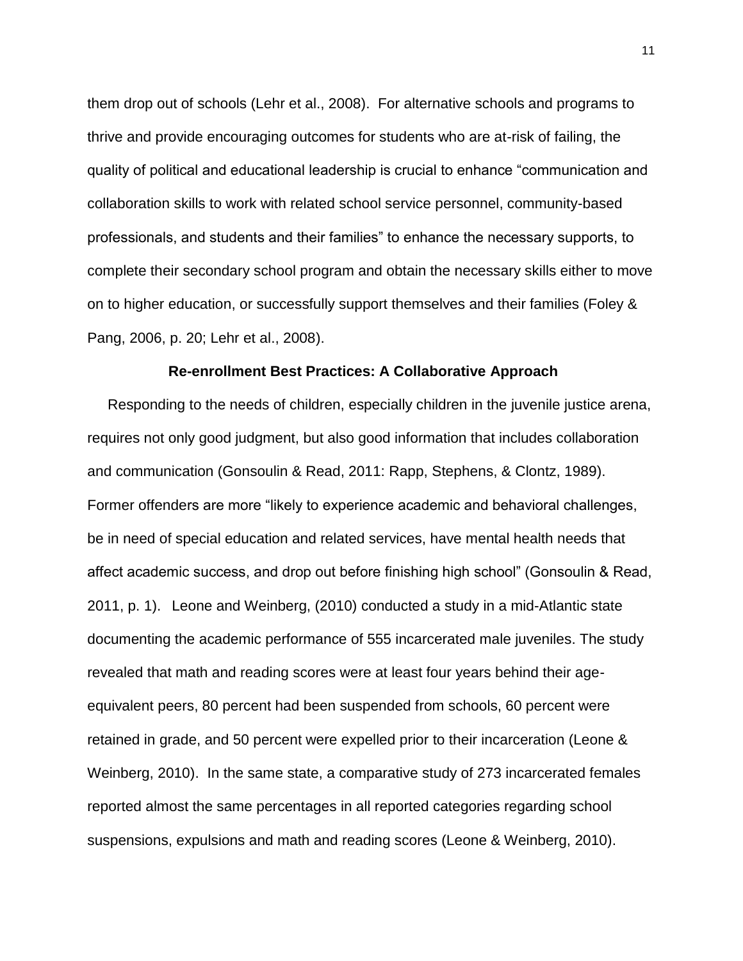them drop out of schools (Lehr et al., 2008). For alternative schools and programs to thrive and provide encouraging outcomes for students who are at-risk of failing, the quality of political and educational leadership is crucial to enhance "communication and collaboration skills to work with related school service personnel, community-based professionals, and students and their families" to enhance the necessary supports, to complete their secondary school program and obtain the necessary skills either to move on to higher education, or successfully support themselves and their families (Foley & Pang, 2006, p. 20; Lehr et al., 2008).

#### **Re-enrollment Best Practices: A Collaborative Approach**

 Responding to the needs of children, especially children in the juvenile justice arena, requires not only good judgment, but also good information that includes collaboration and communication (Gonsoulin & Read, 2011: Rapp, Stephens, & Clontz, 1989). Former offenders are more "likely to experience academic and behavioral challenges, be in need of special education and related services, have mental health needs that affect academic success, and drop out before finishing high school" (Gonsoulin & Read, 2011, p. 1). Leone and Weinberg, (2010) conducted a study in a mid-Atlantic state documenting the academic performance of 555 incarcerated male juveniles. The study revealed that math and reading scores were at least four years behind their ageequivalent peers, 80 percent had been suspended from schools, 60 percent were retained in grade, and 50 percent were expelled prior to their incarceration (Leone & Weinberg, 2010). In the same state, a comparative study of 273 incarcerated females reported almost the same percentages in all reported categories regarding school suspensions, expulsions and math and reading scores (Leone & Weinberg, 2010).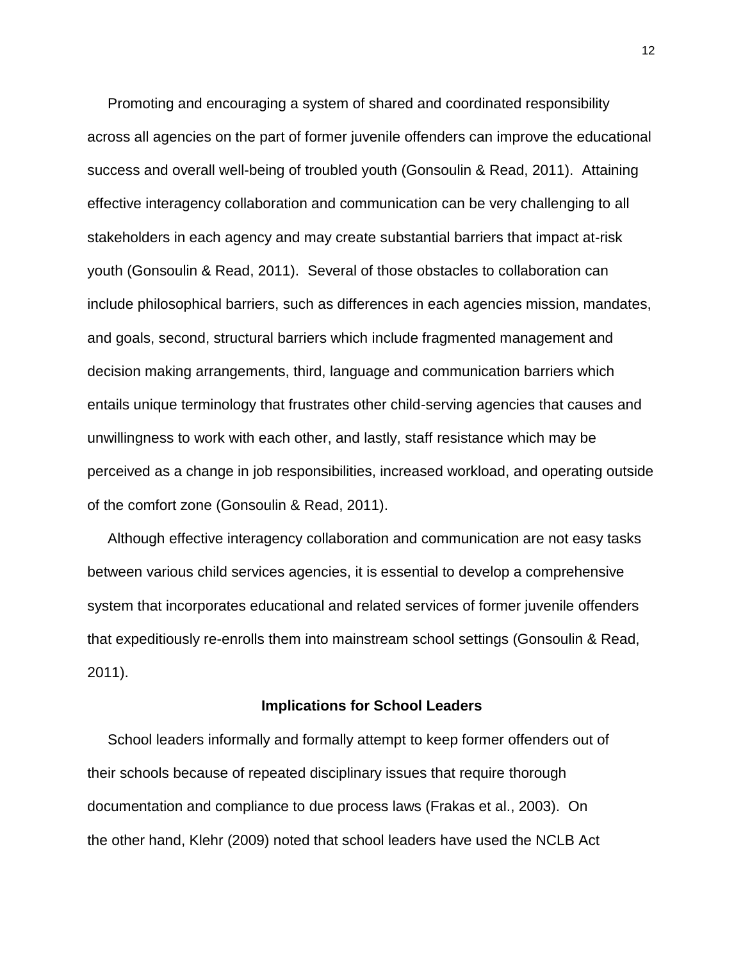Promoting and encouraging a system of shared and coordinated responsibility across all agencies on the part of former juvenile offenders can improve the educational success and overall well-being of troubled youth (Gonsoulin & Read, 2011). Attaining effective interagency collaboration and communication can be very challenging to all stakeholders in each agency and may create substantial barriers that impact at-risk youth (Gonsoulin & Read, 2011). Several of those obstacles to collaboration can include philosophical barriers, such as differences in each agencies mission, mandates, and goals, second, structural barriers which include fragmented management and decision making arrangements, third, language and communication barriers which entails unique terminology that frustrates other child-serving agencies that causes and unwillingness to work with each other, and lastly, staff resistance which may be perceived as a change in job responsibilities, increased workload, and operating outside of the comfort zone (Gonsoulin & Read, 2011).

 Although effective interagency collaboration and communication are not easy tasks between various child services agencies, it is essential to develop a comprehensive system that incorporates educational and related services of former juvenile offenders that expeditiously re-enrolls them into mainstream school settings (Gonsoulin & Read, 2011).

#### **Implications for School Leaders**

 School leaders informally and formally attempt to keep former offenders out of their schools because of repeated disciplinary issues that require thorough documentation and compliance to due process laws (Frakas et al., 2003). On the other hand, Klehr (2009) noted that school leaders have used the NCLB Act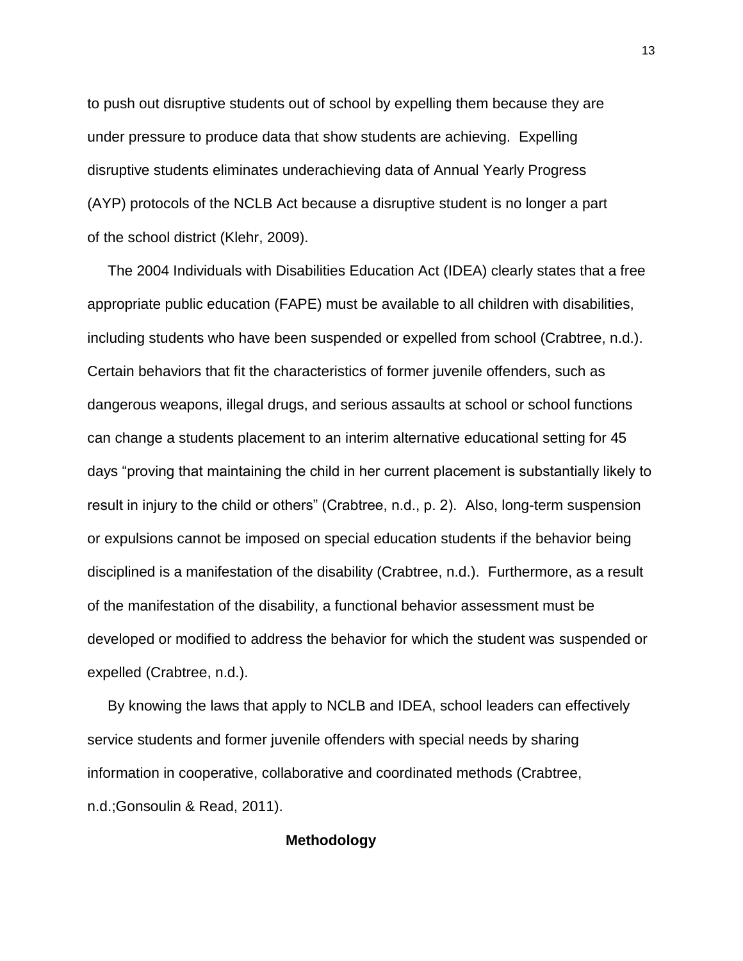to push out disruptive students out of school by expelling them because they are under pressure to produce data that show students are achieving. Expelling disruptive students eliminates underachieving data of Annual Yearly Progress (AYP) protocols of the NCLB Act because a disruptive student is no longer a part of the school district (Klehr, 2009).

 The 2004 Individuals with Disabilities Education Act (IDEA) clearly states that a free appropriate public education (FAPE) must be available to all children with disabilities, including students who have been suspended or expelled from school (Crabtree, n.d.). Certain behaviors that fit the characteristics of former juvenile offenders, such as dangerous weapons, illegal drugs, and serious assaults at school or school functions can change a students placement to an interim alternative educational setting for 45 days "proving that maintaining the child in her current placement is substantially likely to result in injury to the child or others" (Crabtree, n.d., p. 2). Also, long-term suspension or expulsions cannot be imposed on special education students if the behavior being disciplined is a manifestation of the disability (Crabtree, n.d.). Furthermore, as a result of the manifestation of the disability, a functional behavior assessment must be developed or modified to address the behavior for which the student was suspended or expelled (Crabtree, n.d.).

 By knowing the laws that apply to NCLB and IDEA, school leaders can effectively service students and former juvenile offenders with special needs by sharing information in cooperative, collaborative and coordinated methods (Crabtree, n.d.;Gonsoulin & Read, 2011).

#### **Methodology**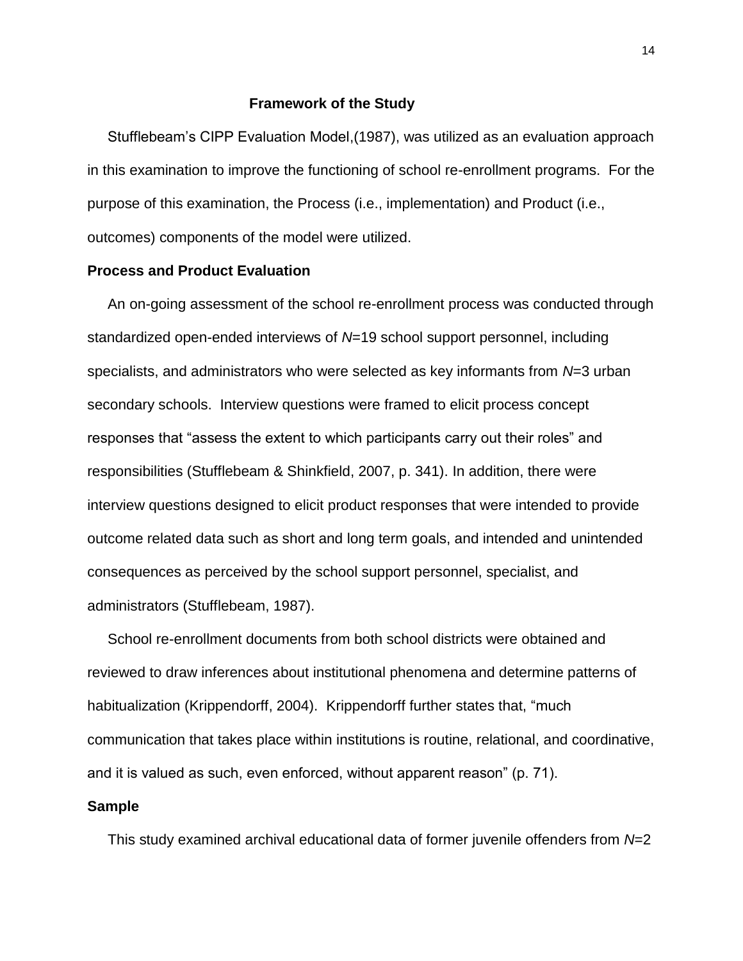#### **Framework of the Study**

 Stufflebeam's CIPP Evaluation Model,(1987), was utilized as an evaluation approach in this examination to improve the functioning of school re-enrollment programs. For the purpose of this examination, the Process (i.e., implementation) and Product (i.e., outcomes) components of the model were utilized.

#### **Process and Product Evaluation**

 An on-going assessment of the school re-enrollment process was conducted through standardized open-ended interviews of *N*=19 school support personnel, including specialists, and administrators who were selected as key informants from *N*=3 urban secondary schools. Interview questions were framed to elicit process concept responses that "assess the extent to which participants carry out their roles" and responsibilities (Stufflebeam & Shinkfield, 2007, p. 341). In addition, there were interview questions designed to elicit product responses that were intended to provide outcome related data such as short and long term goals, and intended and unintended consequences as perceived by the school support personnel, specialist, and administrators (Stufflebeam, 1987).

 School re-enrollment documents from both school districts were obtained and reviewed to draw inferences about institutional phenomena and determine patterns of habitualization (Krippendorff, 2004). Krippendorff further states that, "much communication that takes place within institutions is routine, relational, and coordinative, and it is valued as such, even enforced, without apparent reason" (p. 71).

#### **Sample**

This study examined archival educational data of former juvenile offenders from *N*=2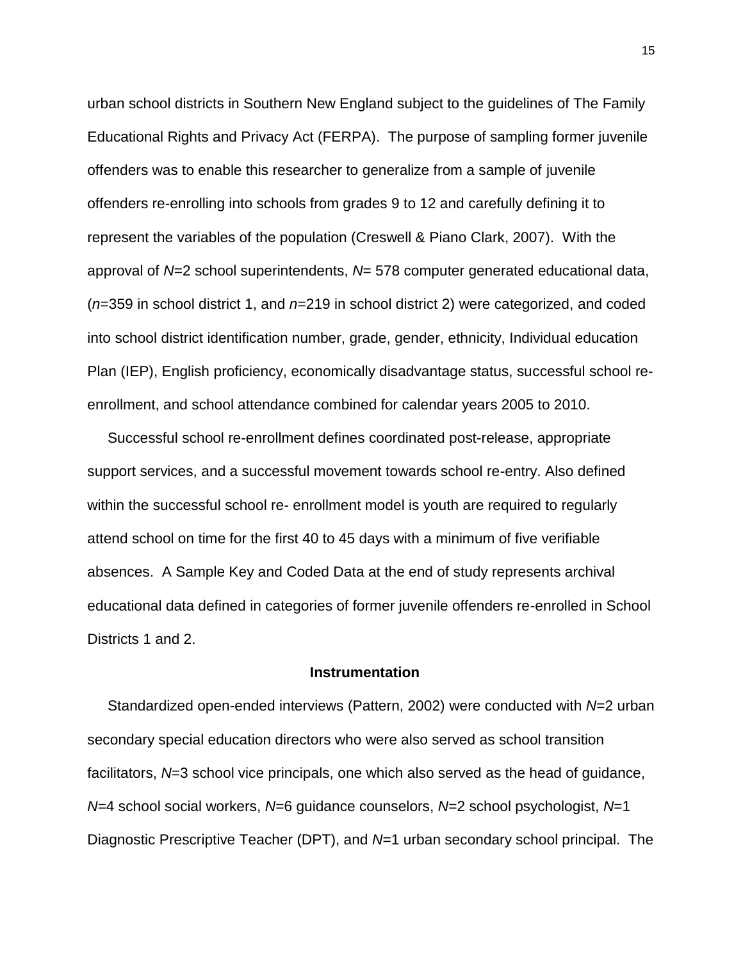urban school districts in Southern New England subject to the guidelines of The Family Educational Rights and Privacy Act (FERPA). The purpose of sampling former juvenile offenders was to enable this researcher to generalize from a sample of juvenile offenders re-enrolling into schools from grades 9 to 12 and carefully defining it to represent the variables of the population (Creswell & Piano Clark, 2007). With the approval of *N*=2 school superintendents, *N*= 578 computer generated educational data, (*n*=359 in school district 1, and *n*=219 in school district 2) were categorized, and coded into school district identification number, grade, gender, ethnicity, Individual education Plan (IEP), English proficiency, economically disadvantage status, successful school reenrollment, and school attendance combined for calendar years 2005 to 2010.

 Successful school re-enrollment defines coordinated post-release, appropriate support services, and a successful movement towards school re-entry. Also defined within the successful school re- enrollment model is youth are required to regularly attend school on time for the first 40 to 45 days with a minimum of five verifiable absences. A Sample Key and Coded Data at the end of study represents archival educational data defined in categories of former juvenile offenders re-enrolled in School Districts 1 and 2.

#### **Instrumentation**

 Standardized open-ended interviews (Pattern, 2002) were conducted with *N*=2 urban secondary special education directors who were also served as school transition facilitators, *N*=3 school vice principals, one which also served as the head of guidance, *N*=4 school social workers, *N*=6 guidance counselors, *N*=2 school psychologist, *N*=1 Diagnostic Prescriptive Teacher (DPT), and *N*=1 urban secondary school principal. The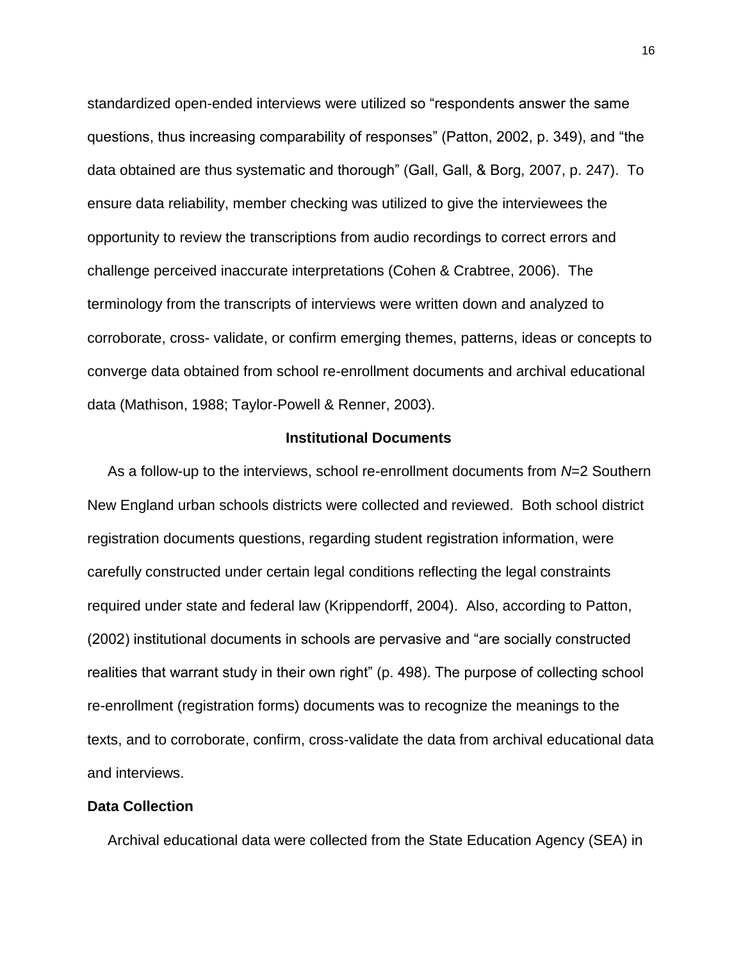standardized open-ended interviews were utilized so "respondents answer the same questions, thus increasing comparability of responses" (Patton, 2002, p. 349), and "the data obtained are thus systematic and thorough" (Gall, Gall, & Borg, 2007, p. 247). To ensure data reliability, member checking was utilized to give the interviewees the opportunity to review the transcriptions from audio recordings to correct errors and challenge perceived inaccurate interpretations (Cohen & Crabtree, 2006). The terminology from the transcripts of interviews were written down and analyzed to corroborate, cross- validate, or confirm emerging themes, patterns, ideas or concepts to converge data obtained from school re-enrollment documents and archival educational data (Mathison, 1988; Taylor-Powell & Renner, 2003).

#### **Institutional Documents**

 As a follow-up to the interviews, school re-enrollment documents from *N*=2 Southern New England urban schools districts were collected and reviewed. Both school district registration documents questions, regarding student registration information, were carefully constructed under certain legal conditions reflecting the legal constraints required under state and federal law (Krippendorff, 2004). Also, according to Patton, (2002) institutional documents in schools are pervasive and "are socially constructed realities that warrant study in their own right" (p. 498). The purpose of collecting school re-enrollment (registration forms) documents was to recognize the meanings to the texts, and to corroborate, confirm, cross-validate the data from archival educational data and interviews.

#### **Data Collection**

Archival educational data were collected from the State Education Agency (SEA) in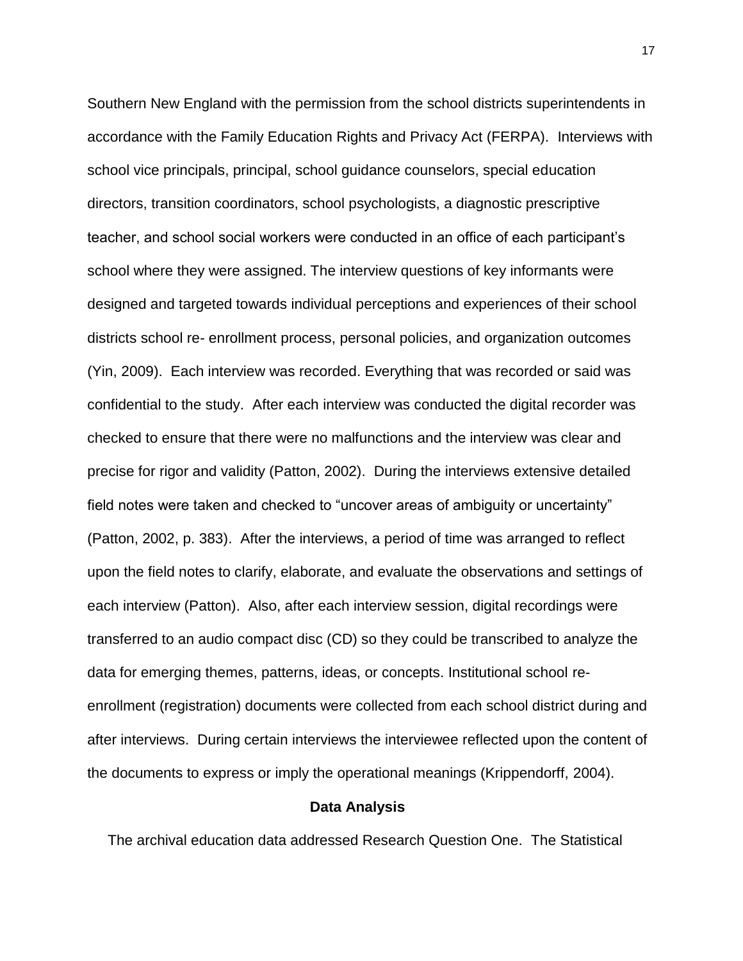Southern New England with the permission from the school districts superintendents in accordance with the Family Education Rights and Privacy Act (FERPA). Interviews with school vice principals, principal, school guidance counselors, special education directors, transition coordinators, school psychologists, a diagnostic prescriptive teacher, and school social workers were conducted in an office of each participant's school where they were assigned. The interview questions of key informants were designed and targeted towards individual perceptions and experiences of their school districts school re- enrollment process, personal policies, and organization outcomes (Yin, 2009). Each interview was recorded. Everything that was recorded or said was confidential to the study. After each interview was conducted the digital recorder was checked to ensure that there were no malfunctions and the interview was clear and precise for rigor and validity (Patton, 2002). During the interviews extensive detailed field notes were taken and checked to "uncover areas of ambiguity or uncertainty" (Patton, 2002, p. 383). After the interviews, a period of time was arranged to reflect upon the field notes to clarify, elaborate, and evaluate the observations and settings of each interview (Patton). Also, after each interview session, digital recordings were transferred to an audio compact disc (CD) so they could be transcribed to analyze the data for emerging themes, patterns, ideas, or concepts. Institutional school reenrollment (registration) documents were collected from each school district during and after interviews. During certain interviews the interviewee reflected upon the content of the documents to express or imply the operational meanings (Krippendorff, 2004).

#### **Data Analysis**

The archival education data addressed Research Question One. The Statistical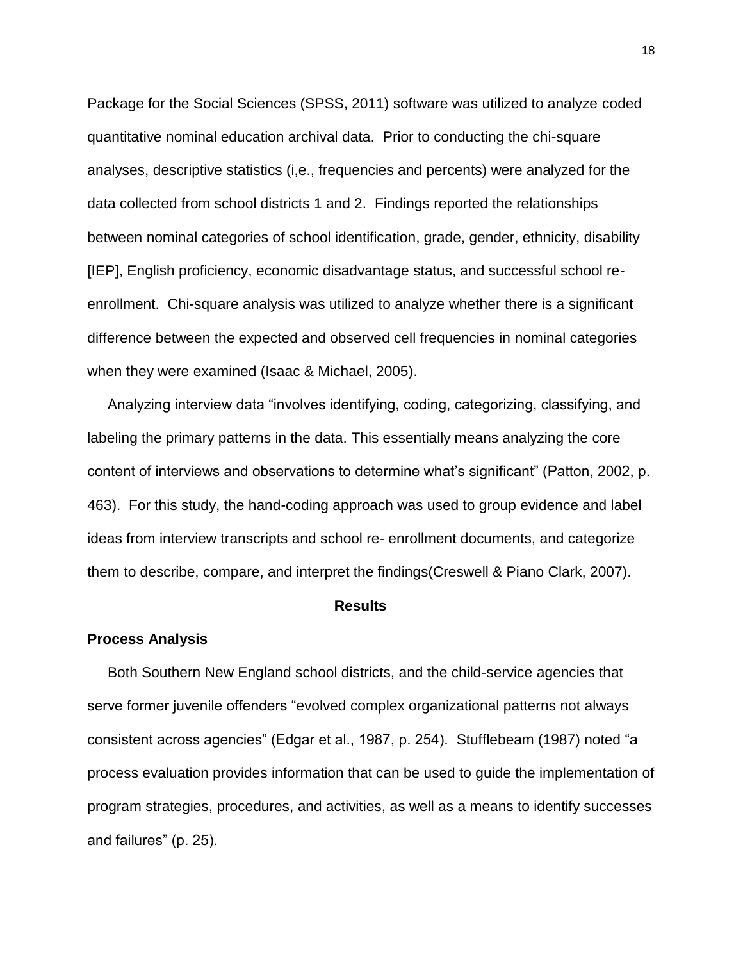Package for the Social Sciences (SPSS, 2011) software was utilized to analyze coded quantitative nominal education archival data. Prior to conducting the chi-square analyses, descriptive statistics (i,e., frequencies and percents) were analyzed for the data collected from school districts 1 and 2. Findings reported the relationships between nominal categories of school identification, grade, gender, ethnicity, disability [IEP], English proficiency, economic disadvantage status, and successful school reenrollment. Chi-square analysis was utilized to analyze whether there is a significant difference between the expected and observed cell frequencies in nominal categories when they were examined (Isaac & Michael, 2005).

 Analyzing interview data "involves identifying, coding, categorizing, classifying, and labeling the primary patterns in the data. This essentially means analyzing the core content of interviews and observations to determine what's significant" (Patton, 2002, p. 463). For this study, the hand-coding approach was used to group evidence and label ideas from interview transcripts and school re- enrollment documents, and categorize them to describe, compare, and interpret the findings(Creswell & Piano Clark, 2007).

#### **Results**

#### **Process Analysis**

 Both Southern New England school districts, and the child-service agencies that serve former juvenile offenders "evolved complex organizational patterns not always consistent across agencies" (Edgar et al., 1987, p. 254). Stufflebeam (1987) noted "a process evaluation provides information that can be used to guide the implementation of program strategies, procedures, and activities, as well as a means to identify successes and failures" (p. 25).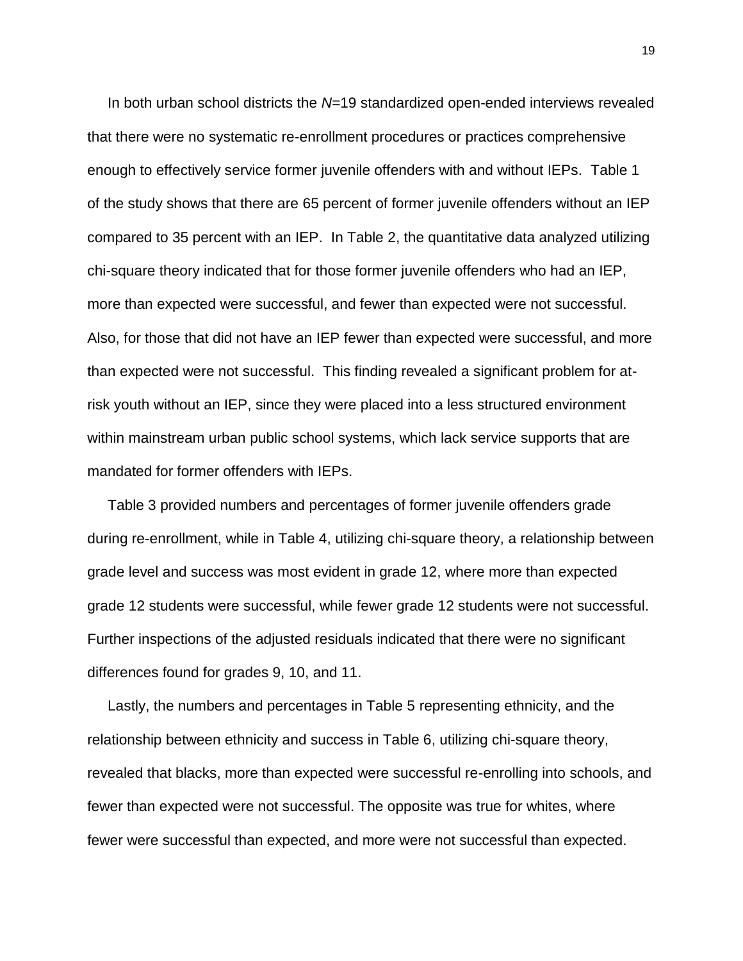In both urban school districts the *N*=19 standardized open-ended interviews revealed that there were no systematic re-enrollment procedures or practices comprehensive enough to effectively service former juvenile offenders with and without IEPs. Table 1 of the study shows that there are 65 percent of former juvenile offenders without an IEP compared to 35 percent with an IEP. In Table 2, the quantitative data analyzed utilizing chi-square theory indicated that for those former juvenile offenders who had an IEP, more than expected were successful, and fewer than expected were not successful. Also, for those that did not have an IEP fewer than expected were successful, and more than expected were not successful. This finding revealed a significant problem for atrisk youth without an IEP, since they were placed into a less structured environment within mainstream urban public school systems, which lack service supports that are mandated for former offenders with IEPs.

 Table 3 provided numbers and percentages of former juvenile offenders grade during re-enrollment, while in Table 4, utilizing chi-square theory, a relationship between grade level and success was most evident in grade 12, where more than expected grade 12 students were successful, while fewer grade 12 students were not successful. Further inspections of the adjusted residuals indicated that there were no significant differences found for grades 9, 10, and 11.

 Lastly, the numbers and percentages in Table 5 representing ethnicity, and the relationship between ethnicity and success in Table 6, utilizing chi-square theory, revealed that blacks, more than expected were successful re-enrolling into schools, and fewer than expected were not successful. The opposite was true for whites, where fewer were successful than expected, and more were not successful than expected.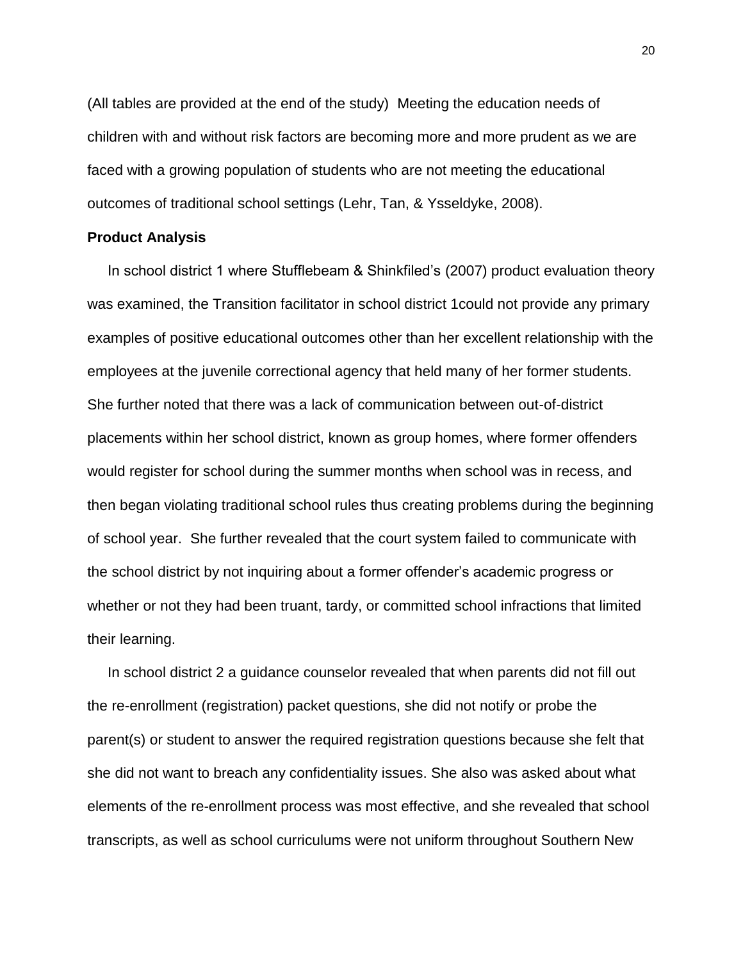(All tables are provided at the end of the study) Meeting the education needs of children with and without risk factors are becoming more and more prudent as we are faced with a growing population of students who are not meeting the educational outcomes of traditional school settings (Lehr, Tan, & Ysseldyke, 2008).

#### **Product Analysis**

 In school district 1 where Stufflebeam & Shinkfiled's (2007) product evaluation theory was examined, the Transition facilitator in school district 1could not provide any primary examples of positive educational outcomes other than her excellent relationship with the employees at the juvenile correctional agency that held many of her former students. She further noted that there was a lack of communication between out-of-district placements within her school district, known as group homes, where former offenders would register for school during the summer months when school was in recess, and then began violating traditional school rules thus creating problems during the beginning of school year. She further revealed that the court system failed to communicate with the school district by not inquiring about a former offender's academic progress or whether or not they had been truant, tardy, or committed school infractions that limited their learning.

 In school district 2 a guidance counselor revealed that when parents did not fill out the re-enrollment (registration) packet questions, she did not notify or probe the parent(s) or student to answer the required registration questions because she felt that she did not want to breach any confidentiality issues. She also was asked about what elements of the re-enrollment process was most effective, and she revealed that school transcripts, as well as school curriculums were not uniform throughout Southern New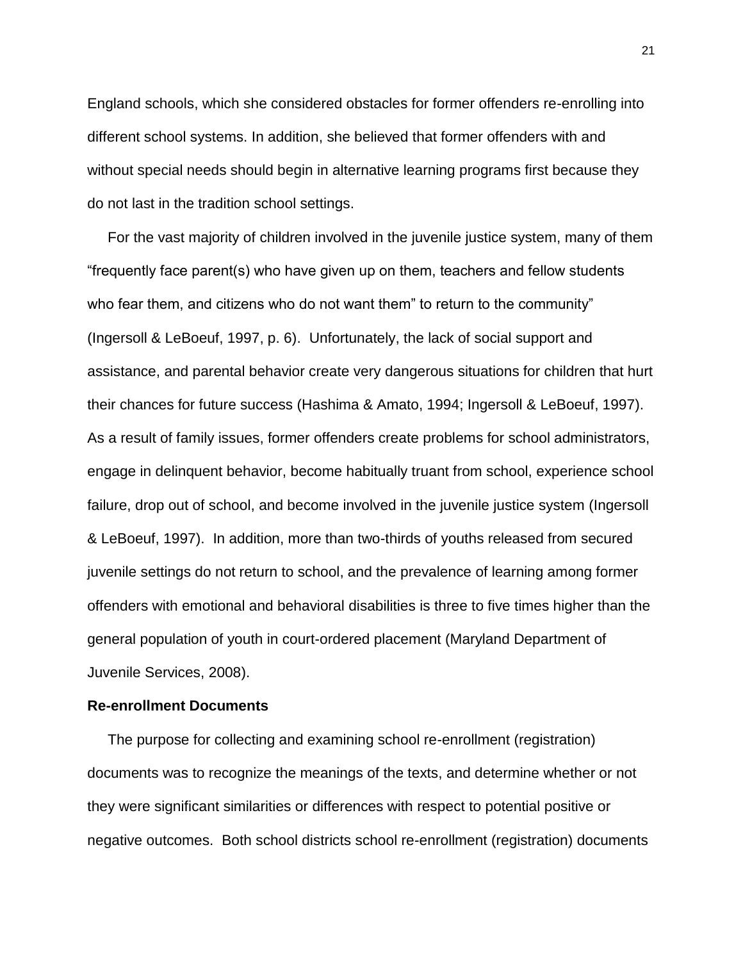England schools, which she considered obstacles for former offenders re-enrolling into different school systems. In addition, she believed that former offenders with and without special needs should begin in alternative learning programs first because they do not last in the tradition school settings.

 For the vast majority of children involved in the juvenile justice system, many of them "frequently face parent(s) who have given up on them, teachers and fellow students who fear them, and citizens who do not want them" to return to the community" (Ingersoll & LeBoeuf, 1997, p. 6). Unfortunately, the lack of social support and assistance, and parental behavior create very dangerous situations for children that hurt their chances for future success (Hashima & Amato, 1994; Ingersoll & LeBoeuf, 1997). As a result of family issues, former offenders create problems for school administrators, engage in delinquent behavior, become habitually truant from school, experience school failure, drop out of school, and become involved in the juvenile justice system (Ingersoll & LeBoeuf, 1997). In addition, more than two-thirds of youths released from secured juvenile settings do not return to school, and the prevalence of learning among former offenders with emotional and behavioral disabilities is three to five times higher than the general population of youth in court-ordered placement (Maryland Department of Juvenile Services, 2008).

#### **Re-enrollment Documents**

 The purpose for collecting and examining school re-enrollment (registration) documents was to recognize the meanings of the texts, and determine whether or not they were significant similarities or differences with respect to potential positive or negative outcomes. Both school districts school re-enrollment (registration) documents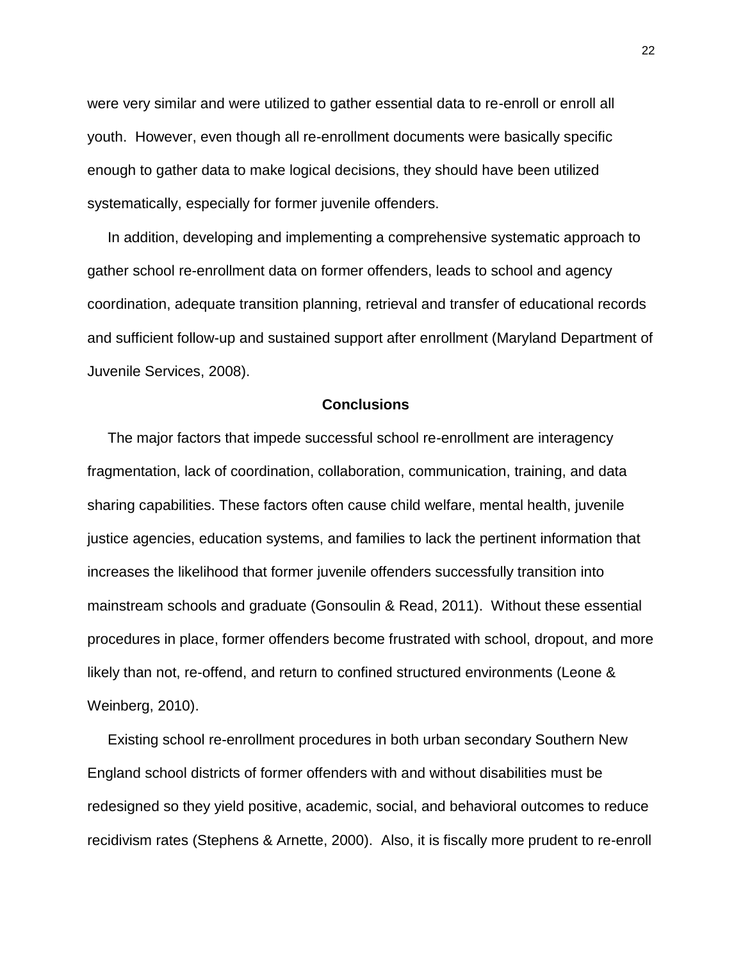were very similar and were utilized to gather essential data to re-enroll or enroll all youth. However, even though all re-enrollment documents were basically specific enough to gather data to make logical decisions, they should have been utilized systematically, especially for former juvenile offenders.

 In addition, developing and implementing a comprehensive systematic approach to gather school re-enrollment data on former offenders, leads to school and agency coordination, adequate transition planning, retrieval and transfer of educational records and sufficient follow-up and sustained support after enrollment (Maryland Department of Juvenile Services, 2008).

#### **Conclusions**

 The major factors that impede successful school re-enrollment are interagency fragmentation, lack of coordination, collaboration, communication, training, and data sharing capabilities. These factors often cause child welfare, mental health, juvenile justice agencies, education systems, and families to lack the pertinent information that increases the likelihood that former juvenile offenders successfully transition into mainstream schools and graduate (Gonsoulin & Read, 2011). Without these essential procedures in place, former offenders become frustrated with school, dropout, and more likely than not, re-offend, and return to confined structured environments (Leone & Weinberg, 2010).

 Existing school re-enrollment procedures in both urban secondary Southern New England school districts of former offenders with and without disabilities must be redesigned so they yield positive, academic, social, and behavioral outcomes to reduce recidivism rates (Stephens & Arnette, 2000). Also, it is fiscally more prudent to re-enroll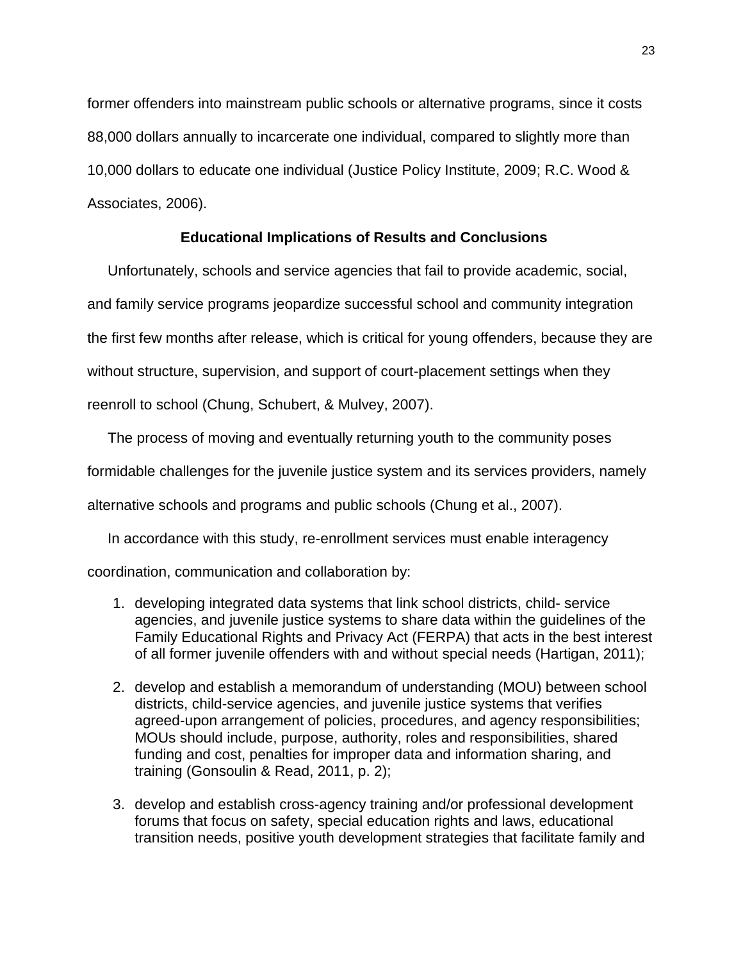former offenders into mainstream public schools or alternative programs, since it costs 88,000 dollars annually to incarcerate one individual, compared to slightly more than 10,000 dollars to educate one individual (Justice Policy Institute, 2009; R.C. Wood & Associates, 2006).

#### **Educational Implications of Results and Conclusions**

 Unfortunately, schools and service agencies that fail to provide academic, social, and family service programs jeopardize successful school and community integration the first few months after release, which is critical for young offenders, because they are without structure, supervision, and support of court-placement settings when they reenroll to school (Chung, Schubert, & Mulvey, 2007).

 The process of moving and eventually returning youth to the community poses formidable challenges for the juvenile justice system and its services providers, namely alternative schools and programs and public schools (Chung et al., 2007).

In accordance with this study, re-enrollment services must enable interagency

coordination, communication and collaboration by:

- 1. developing integrated data systems that link school districts, child- service agencies, and juvenile justice systems to share data within the guidelines of the Family Educational Rights and Privacy Act (FERPA) that acts in the best interest of all former juvenile offenders with and without special needs (Hartigan, 2011);
- 2. develop and establish a memorandum of understanding (MOU) between school districts, child-service agencies, and juvenile justice systems that verifies agreed-upon arrangement of policies, procedures, and agency responsibilities; MOUs should include, purpose, authority, roles and responsibilities, shared funding and cost, penalties for improper data and information sharing, and training (Gonsoulin & Read, 2011, p. 2);
- 3. develop and establish cross-agency training and/or professional development forums that focus on safety, special education rights and laws, educational transition needs, positive youth development strategies that facilitate family and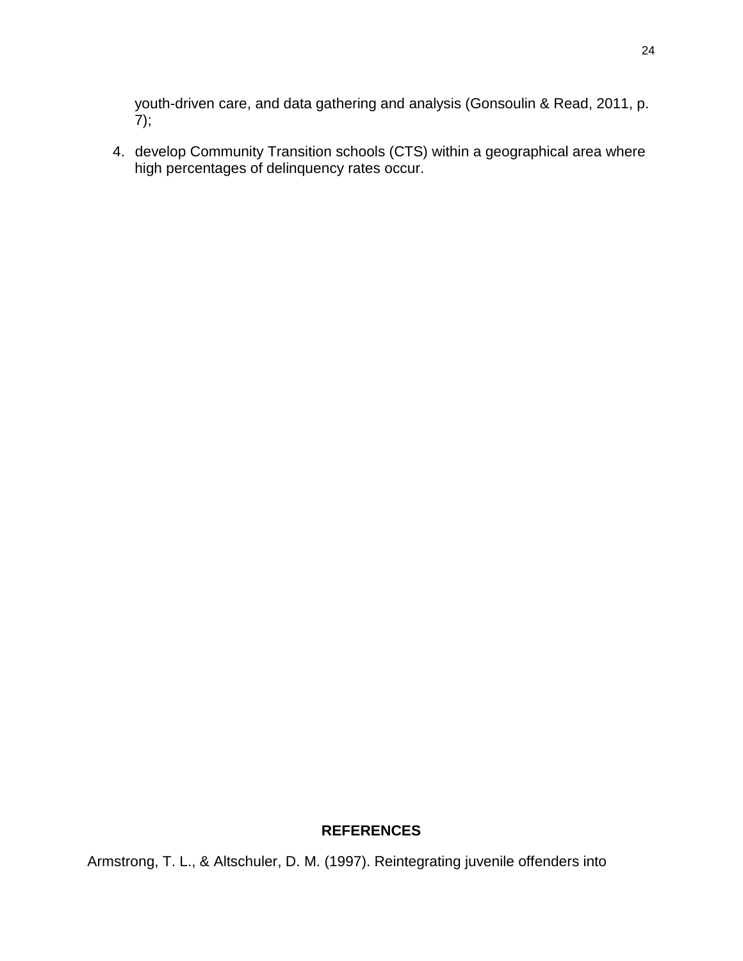youth-driven care, and data gathering and analysis (Gonsoulin & Read, 2011, p.  $7);$ 

4. develop Community Transition schools (CTS) within a geographical area where high percentages of delinquency rates occur.

### **REFERENCES**

Armstrong, T. L., & Altschuler, D. M. (1997). Reintegrating juvenile offenders into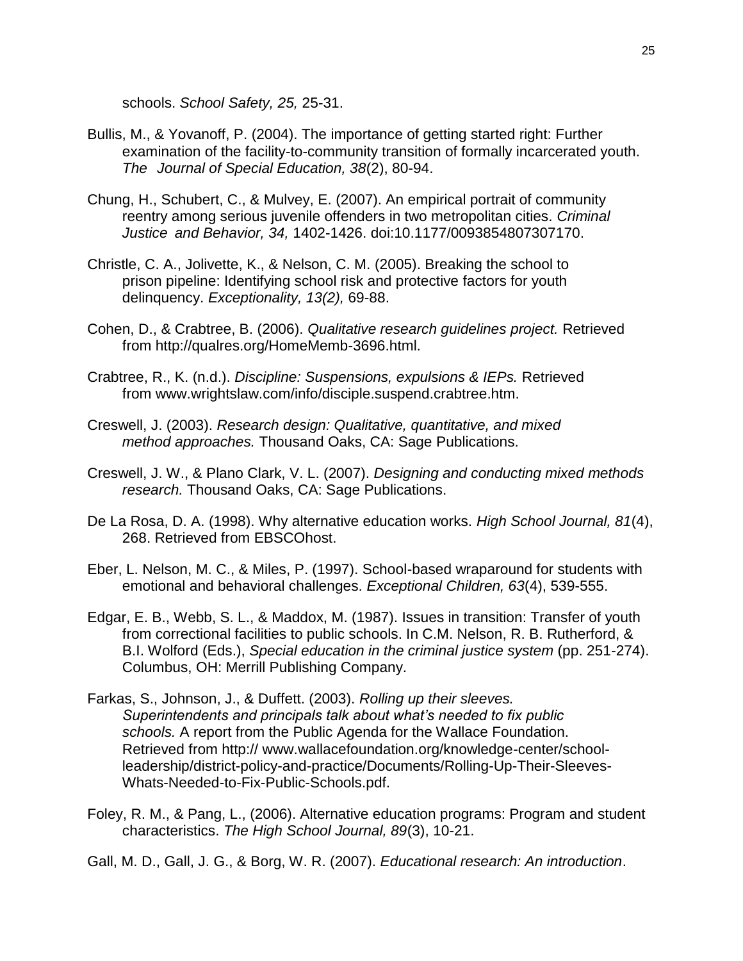schools. *School Safety, 25,* 25-31.

- Bullis, M., & Yovanoff, P. (2004). The importance of getting started right: Further examination of the facility-to-community transition of formally incarcerated youth. *The Journal of Special Education, 38*(2), 80-94.
- Chung, H., Schubert, C., & Mulvey, E. (2007). An empirical portrait of community reentry among serious juvenile offenders in two metropolitan cities. *Criminal Justice and Behavior, 34,* 1402-1426. doi:10.1177/0093854807307170.
- Christle, C. A., Jolivette, K., & Nelson, C. M. (2005). Breaking the school to prison pipeline: Identifying school risk and protective factors for youth delinquency. *Exceptionality, 13(2),* 69-88.
- Cohen, D., & Crabtree, B. (2006). *Qualitative research guidelines project.* Retrieved from http://qualres.org/HomeMemb-3696.html.
- Crabtree, R., K. (n.d.). *Discipline: Suspensions, expulsions & IEPs.* Retrieved from www.wrightslaw.com/info/disciple.suspend.crabtree.htm.
- Creswell, J. (2003). *Research design: Qualitative, quantitative, and mixed method approaches.* Thousand Oaks, CA: Sage Publications.
- Creswell, J. W., & Plano Clark, V. L. (2007). *Designing and conducting mixed methods research.* Thousand Oaks, CA: Sage Publications.
- De La Rosa, D. A. (1998). Why alternative education works. *High School Journal, 81*(4), 268. Retrieved from EBSCOhost.
- Eber, L. Nelson, M. C., & Miles, P. (1997). School-based wraparound for students with emotional and behavioral challenges. *Exceptional Children, 63*(4), 539-555.
- Edgar, E. B., Webb, S. L., & Maddox, M. (1987). Issues in transition: Transfer of youth from correctional facilities to public schools. In C.M. Nelson, R. B. Rutherford, & B.I. Wolford (Eds.), *Special education in the criminal justice system* (pp. 251-274). Columbus, OH: Merrill Publishing Company.
- Farkas, S., Johnson, J., & Duffett. (2003). *Rolling up their sleeves. Superintendents and principals talk about what's needed to fix public schools.* A report from the Public Agenda for the Wallace Foundation. Retrieved from http:// www.wallacefoundation.org/knowledge-center/schoolleadership/district-policy-and-practice/Documents/Rolling-Up-Their-Sleeves-Whats-Needed-to-Fix-Public-Schools.pdf.
- Foley, R. M., & Pang, L., (2006). Alternative education programs: Program and student characteristics. *The High School Journal, 89*(3), 10-21.
- Gall, M. D., Gall, J. G., & Borg, W. R. (2007). *Educational research: An introduction*.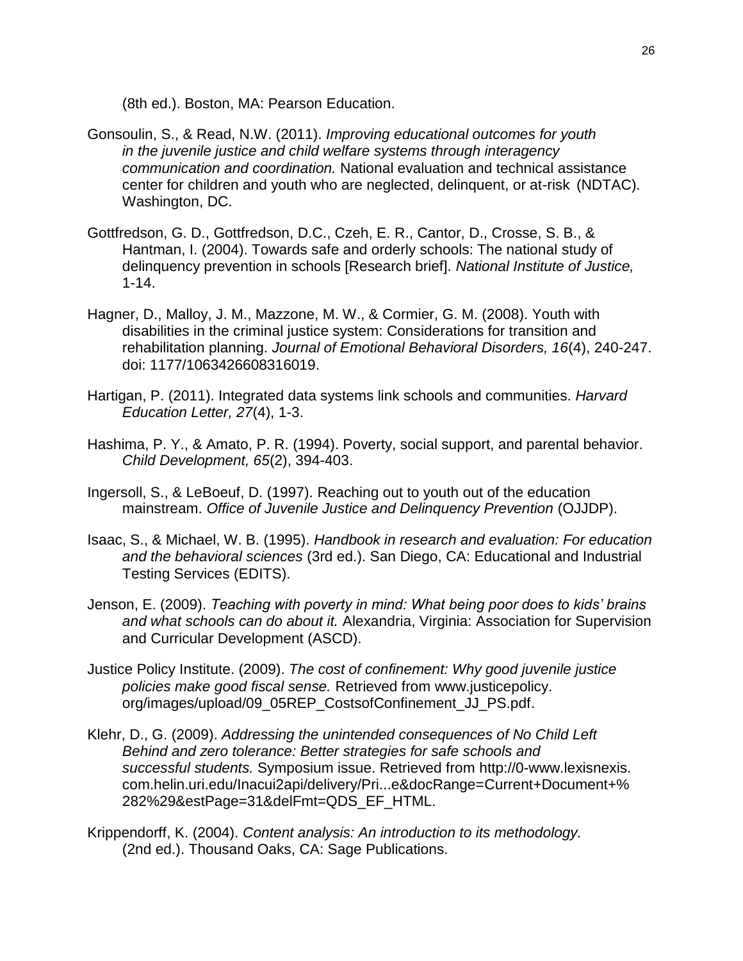(8th ed.). Boston, MA: Pearson Education.

- Gonsoulin, S., & Read, N.W. (2011). *Improving educational outcomes for youth in the juvenile justice and child welfare systems through interagency communication and coordination.* National evaluation and technical assistance center for children and youth who are neglected, delinquent, or at-risk (NDTAC). Washington, DC.
- Gottfredson, G. D., Gottfredson, D.C., Czeh, E. R., Cantor, D., Crosse, S. B., & Hantman, I. (2004). Towards safe and orderly schools: The national study of delinquency prevention in schools [Research brief]. *National Institute of Justice,* 1-14.
- Hagner, D., Malloy, J. M., Mazzone, M. W., & Cormier, G. M. (2008). Youth with disabilities in the criminal justice system: Considerations for transition and rehabilitation planning. *Journal of Emotional Behavioral Disorders, 16*(4), 240-247. doi: 1177/1063426608316019.
- Hartigan, P. (2011). Integrated data systems link schools and communities. *Harvard Education Letter, 27*(4), 1-3.
- Hashima, P. Y., & Amato, P. R. (1994). Poverty, social support, and parental behavior. *Child Development, 65*(2), 394-403.
- Ingersoll, S., & LeBoeuf, D. (1997). Reaching out to youth out of the education mainstream. *Office of Juvenile Justice and Delinquency Prevention* (OJJDP).
- Isaac, S., & Michael, W. B. (1995). *Handbook in research and evaluation: For education and the behavioral sciences* (3rd ed.). San Diego, CA: Educational and Industrial Testing Services (EDITS).
- Jenson, E. (2009). *Teaching with poverty in mind: What being poor does to kids' brains and what schools can do about it.* Alexandria, Virginia: Association for Supervision and Curricular Development (ASCD).
- Justice Policy Institute. (2009). *The cost of confinement: Why good juvenile justice policies make good fiscal sense.* Retrieved from www.justicepolicy. org/images/upload/09\_05REP\_CostsofConfinement\_JJ\_PS.pdf.
- Klehr, D., G. (2009). *Addressing the unintended consequences of No Child Left Behind and zero tolerance: Better strategies for safe schools and successful students.* Symposium issue. Retrieved from http://0-www.lexisnexis. com.helin.uri.edu/Inacui2api/delivery/Pri...e&docRange=Current+Document+% 282%29&estPage=31&delFmt=QDS\_EF\_HTML.
- Krippendorff, K. (2004). *Content analysis: An introduction to its methodology.*  (2nd ed.). Thousand Oaks, CA: Sage Publications.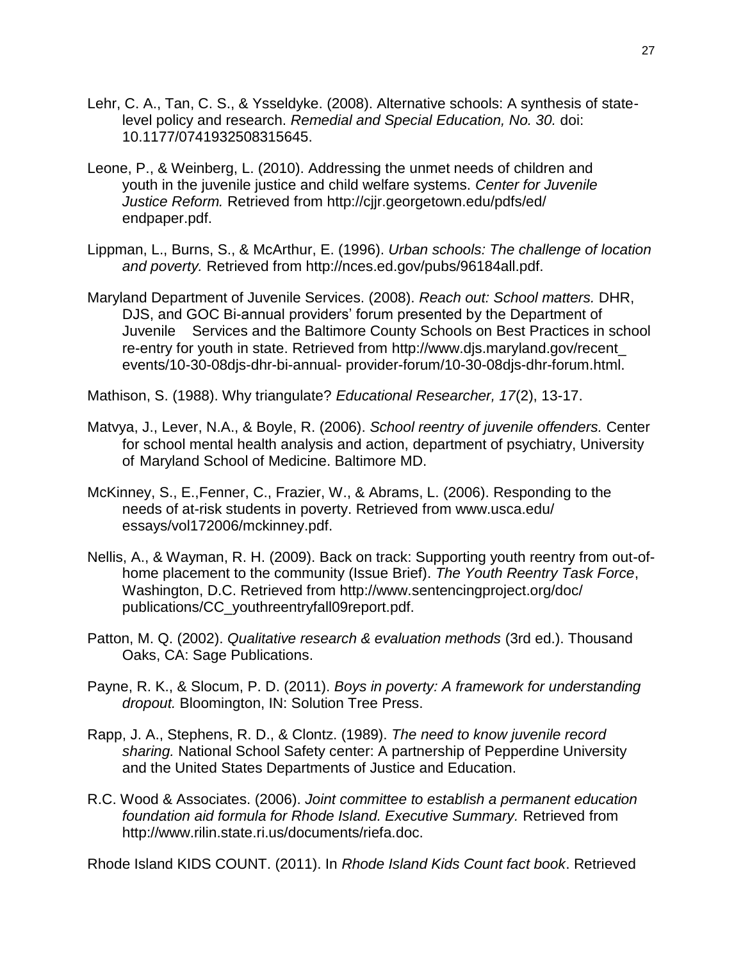- Lehr, C. A., Tan, C. S., & Ysseldyke. (2008). Alternative schools: A synthesis of statelevel policy and research. *Remedial and Special Education, No. 30.* doi: 10.1177/0741932508315645.
- Leone, P., & Weinberg, L. (2010). Addressing the unmet needs of children and youth in the juvenile justice and child welfare systems. *Center for Juvenile Justice Reform.* Retrieved from http://cjjr.georgetown.edu/pdfs/ed/ endpaper.pdf.
- Lippman, L., Burns, S., & McArthur, E. (1996). *Urban schools: The challenge of location and poverty.* Retrieved from http://nces.ed.gov/pubs/96184all.pdf.
- Maryland Department of Juvenile Services. (2008). *Reach out: School matters.* DHR, DJS, and GOC Bi-annual providers' forum presented by the Department of Juvenile Services and the Baltimore County Schools on Best Practices in school re-entry for youth in state. Retrieved from http://www.djs.maryland.gov/recent\_ events/10-30-08djs-dhr-bi-annual- provider-forum/10-30-08djs-dhr-forum.html.

Mathison, S. (1988). Why triangulate? *Educational Researcher, 17*(2), 13-17.

- Matvya, J., Lever, N.A., & Boyle, R. (2006). *School reentry of juvenile offenders.* Center for school mental health analysis and action, department of psychiatry, University of Maryland School of Medicine. Baltimore MD.
- McKinney, S., E.,Fenner, C., Frazier, W., & Abrams, L. (2006). Responding to the needs of at-risk students in poverty. Retrieved from www.usca.edu/ essays/vol172006/mckinney.pdf.
- Nellis, A., & Wayman, R. H. (2009). Back on track: Supporting youth reentry from out-ofhome placement to the community (Issue Brief). *The Youth Reentry Task Force*, Washington, D.C. Retrieved from http://www.sentencingproject.org/doc/ publications/CC\_youthreentryfall09report.pdf.
- Patton, M. Q. (2002). *Qualitative research & evaluation methods* (3rd ed.). Thousand Oaks, CA: Sage Publications.
- Payne, R. K., & Slocum, P. D. (2011). *Boys in poverty: A framework for understanding dropout.* Bloomington, IN: Solution Tree Press.
- Rapp, J. A., Stephens, R. D., & Clontz. (1989). *The need to know juvenile record sharing.* National School Safety center: A partnership of Pepperdine University and the United States Departments of Justice and Education.
- R.C. Wood & Associates. (2006). *Joint committee to establish a permanent education foundation aid formula for Rhode Island. Executive Summary.* Retrieved from http://www.rilin.state.ri.us/documents/riefa.doc.

Rhode Island KIDS COUNT. (2011). In *Rhode Island Kids Count fact book*. Retrieved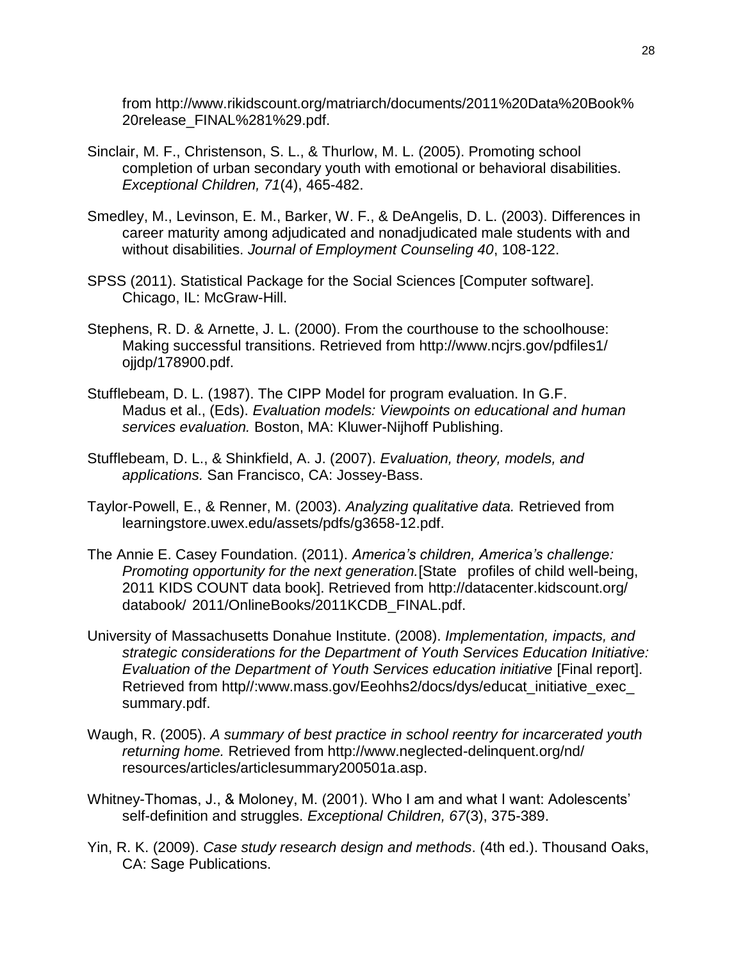from http://www.rikidscount.org/matriarch/documents/2011%20Data%20Book% 20release\_FINAL%281%29.pdf.

- Sinclair, M. F., Christenson, S. L., & Thurlow, M. L. (2005). Promoting school completion of urban secondary youth with emotional or behavioral disabilities. *Exceptional Children, 71*(4), 465-482.
- Smedley, M., Levinson, E. M., Barker, W. F., & DeAngelis, D. L. (2003). Differences in career maturity among adjudicated and nonadjudicated male students with and without disabilities. *Journal of Employment Counseling 40*, 108-122.
- SPSS (2011). Statistical Package for the Social Sciences [Computer software]. Chicago, IL: McGraw-Hill.
- Stephens, R. D. & Arnette, J. L. (2000). From the courthouse to the schoolhouse: Making successful transitions. Retrieved from http://www.ncjrs.gov/pdfiles1/ ojjdp/178900.pdf.
- Stufflebeam, D. L. (1987). The CIPP Model for program evaluation. In G.F. Madus et al., (Eds). *Evaluation models: Viewpoints on educational and human services evaluation.* Boston, MA: Kluwer-Nijhoff Publishing.
- Stufflebeam, D. L., & Shinkfield, A. J. (2007). *Evaluation, theory, models, and applications.* San Francisco, CA: Jossey-Bass.
- Taylor-Powell, E., & Renner, M. (2003). *Analyzing qualitative data.* Retrieved from learningstore.uwex.edu/assets/pdfs/g3658-12.pdf.
- The Annie E. Casey Foundation. (2011). *America's children, America's challenge: Promoting opportunity for the next generation.*[State profiles of child well-being, 2011 KIDS COUNT data book]. Retrieved from http://datacenter.kidscount.org/ databook/ 2011/OnlineBooks/2011KCDB\_FINAL.pdf.
- University of Massachusetts Donahue Institute. (2008). *Implementation, impacts, and strategic considerations for the Department of Youth Services Education Initiative: Evaluation of the Department of Youth Services education initiative* [Final report]. Retrieved from http//:www.mass.gov/Eeohhs2/docs/dys/educat\_initiative\_exec summary.pdf.
- Waugh, R. (2005). *A summary of best practice in school reentry for incarcerated youth returning home.* Retrieved from http://www.neglected-delinquent.org/nd/ resources/articles/articlesummary200501a.asp.
- Whitney-Thomas, J., & Moloney, M. (2001). Who I am and what I want: Adolescents' self-definition and struggles. *Exceptional Children, 67*(3), 375-389.
- Yin, R. K. (2009). *Case study research design and methods*. (4th ed.). Thousand Oaks, CA: Sage Publications.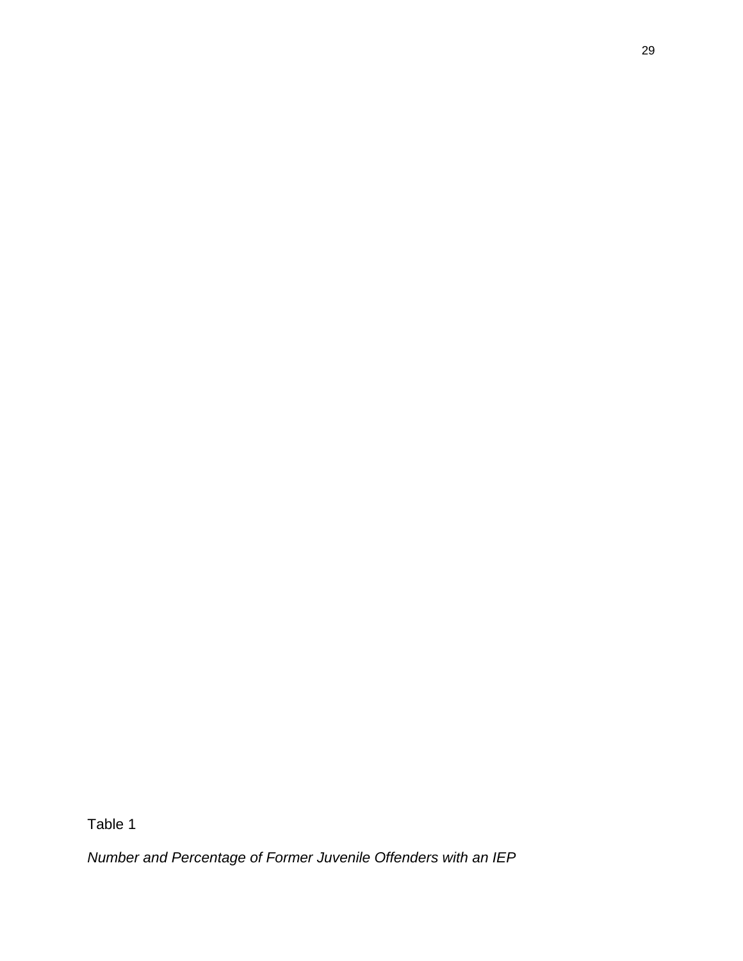*Number and Percentage of Former Juvenile Offenders with an IEP*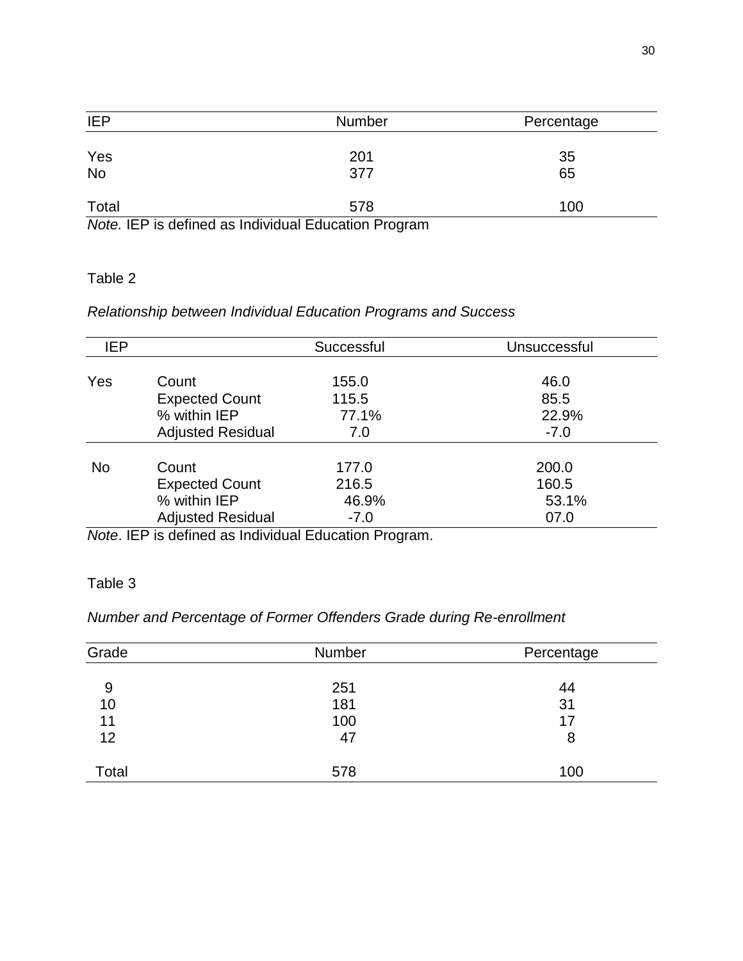| <b>IEP</b> | <b>Number</b>                                        | Percentage |
|------------|------------------------------------------------------|------------|
|            |                                                      |            |
| Yes        | 201                                                  | 35         |
| <b>No</b>  | 377                                                  | 65         |
|            |                                                      |            |
| Total      | 578                                                  | 100        |
|            | Note. IEP is defined as Individual Education Program |            |

### *Relationship between Individual Education Programs and Success*

| <b>IEP</b> |                          | Successful | Unsuccessful |
|------------|--------------------------|------------|--------------|
| Yes        | Count                    | 155.0      | 46.0         |
|            | <b>Expected Count</b>    | 115.5      | 85.5         |
|            | % within IEP             | 77.1%      | 22.9%        |
|            | <b>Adjusted Residual</b> | 7.0        | $-7.0$       |
| <b>No</b>  | Count                    | 177.0      | 200.0        |
|            | <b>Expected Count</b>    | 216.5      | 160.5        |
|            | % within IEP             | 46.9%      | 53.1%        |
|            | <b>Adjusted Residual</b> | $-7.0$     | 07.0         |

*Note*. IEP is defined as Individual Education Program.

### Table 3

### *Number and Percentage of Former Offenders Grade during Re-enrollment*

| Grade | <b>Number</b> | Percentage |
|-------|---------------|------------|
|       |               |            |
| 9     | 251           | 44         |
| 10    | 181           | 31         |
| 11    | 100           | 17         |
| 12    | 47            | 8          |
| Total | 578           | 100        |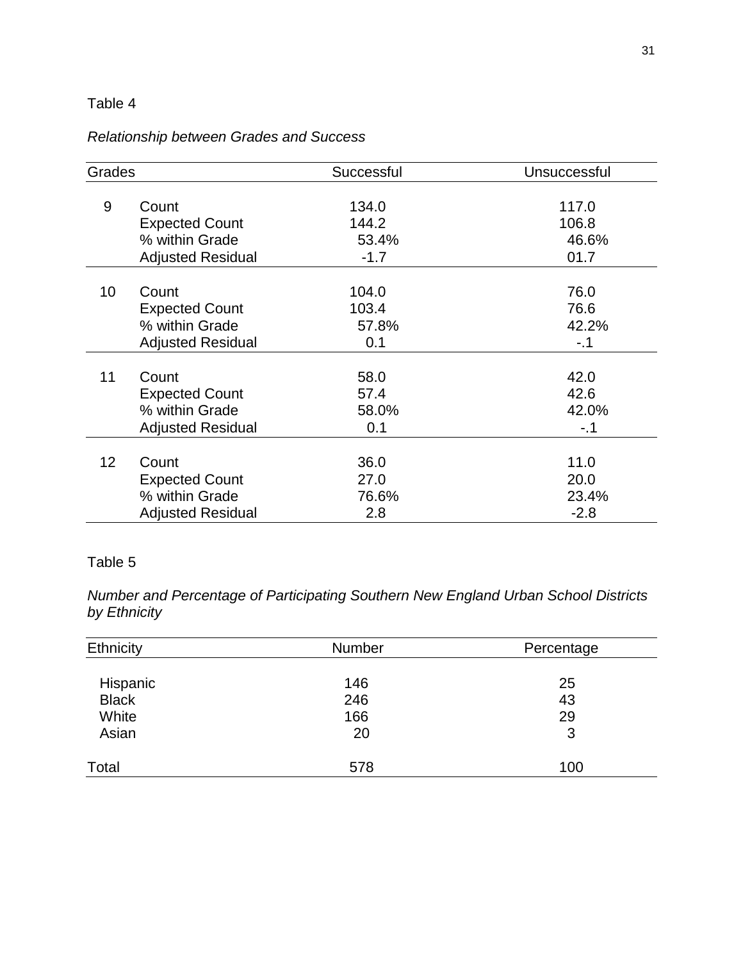### *Relationship between Grades and Success*

| Grades          |                          | Successful | Unsuccessful |
|-----------------|--------------------------|------------|--------------|
| 9               | Count                    | 134.0      | 117.0        |
|                 | <b>Expected Count</b>    | 144.2      | 106.8        |
|                 | % within Grade           | 53.4%      | 46.6%        |
|                 | <b>Adjusted Residual</b> | $-1.7$     | 01.7         |
|                 |                          |            |              |
| 10              | Count                    | 104.0      | 76.0         |
|                 | <b>Expected Count</b>    | 103.4      | 76.6         |
|                 | % within Grade           | 57.8%      | 42.2%        |
|                 | <b>Adjusted Residual</b> | 0.1        | $-.1$        |
| 11              | Count                    | 58.0       | 42.0         |
|                 | <b>Expected Count</b>    | 57.4       | 42.6         |
|                 | % within Grade           | 58.0%      | 42.0%        |
|                 | <b>Adjusted Residual</b> | 0.1        | $-.1$        |
| 12 <sub>2</sub> |                          |            |              |
|                 | Count                    | 36.0       | 11.0         |
|                 | <b>Expected Count</b>    | 27.0       | 20.0         |
|                 | % within Grade           | 76.6%      | 23.4%        |
|                 | <b>Adjusted Residual</b> | 2.8        | $-2.8$       |

### Table 5

*Number and Percentage of Participating Southern New England Urban School Districts by Ethnicity*

| Ethnicity    | <b>Number</b> | Percentage |
|--------------|---------------|------------|
|              |               |            |
| Hispanic     | 146           | 25         |
| <b>Black</b> | 246           | 43         |
| White        | 166           | 29         |
| Asian        | 20            | 3          |
| Total        | 578           | 100        |